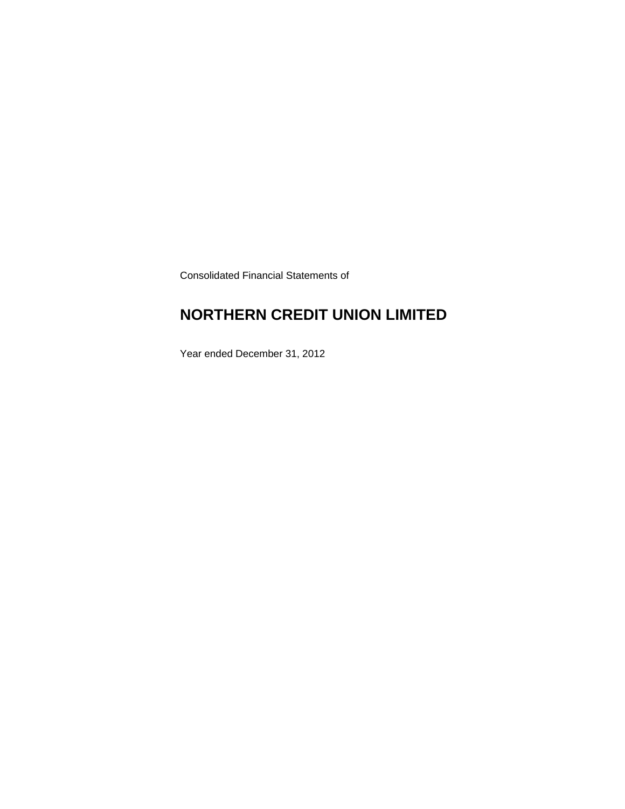Consolidated Financial Statements of

### **NORTHERN CREDIT UNION LIMITED**

Year ended December 31, 2012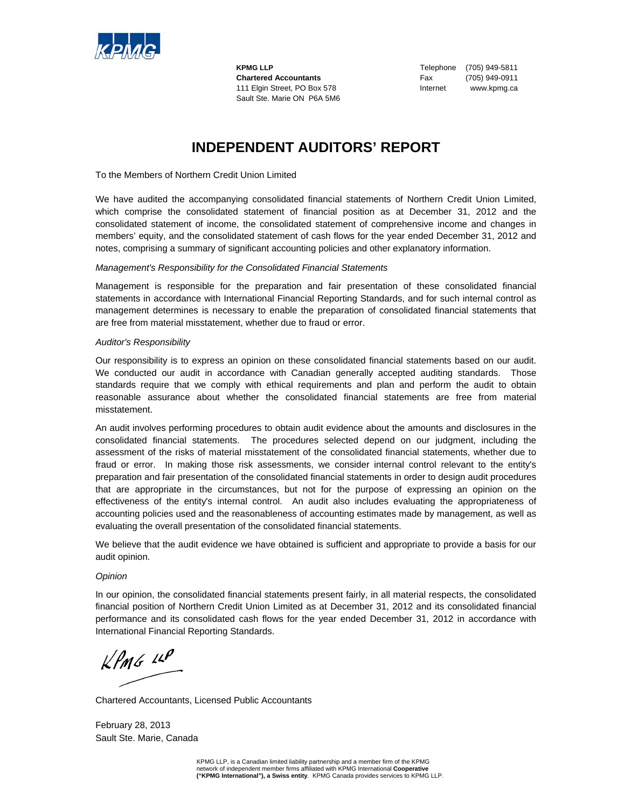

**Chartered Accountants** Fax (705) 949-0911 111 Elgin Street, PO Box 578 Internet www.kpmg.ca Sault Ste. Marie ON P6A 5M6

**KPMG LLP** Telephone (705) 949-5811

### **INDEPENDENT AUDITORS' REPORT**

To the Members of Northern Credit Union Limited

We have audited the accompanying consolidated financial statements of Northern Credit Union Limited, which comprise the consolidated statement of financial position as at December 31, 2012 and the consolidated statement of income, the consolidated statement of comprehensive income and changes in members' equity, and the consolidated statement of cash flows for the year ended December 31, 2012 and notes, comprising a summary of significant accounting policies and other explanatory information.

#### *Management's Responsibility for the Consolidated Financial Statements*

Management is responsible for the preparation and fair presentation of these consolidated financial statements in accordance with International Financial Reporting Standards, and for such internal control as management determines is necessary to enable the preparation of consolidated financial statements that are free from material misstatement, whether due to fraud or error.

#### *Auditor's Responsibility*

Our responsibility is to express an opinion on these consolidated financial statements based on our audit. We conducted our audit in accordance with Canadian generally accepted auditing standards. Those standards require that we comply with ethical requirements and plan and perform the audit to obtain reasonable assurance about whether the consolidated financial statements are free from material misstatement.

An audit involves performing procedures to obtain audit evidence about the amounts and disclosures in the consolidated financial statements. The procedures selected depend on our judgment, including the assessment of the risks of material misstatement of the consolidated financial statements, whether due to fraud or error. In making those risk assessments, we consider internal control relevant to the entity's preparation and fair presentation of the consolidated financial statements in order to design audit procedures that are appropriate in the circumstances, but not for the purpose of expressing an opinion on the effectiveness of the entity's internal control. An audit also includes evaluating the appropriateness of accounting policies used and the reasonableness of accounting estimates made by management, as well as evaluating the overall presentation of the consolidated financial statements.

We believe that the audit evidence we have obtained is sufficient and appropriate to provide a basis for our audit opinion.

#### *Opinion*

In our opinion, the consolidated financial statements present fairly, in all material respects, the consolidated financial position of Northern Credit Union Limited as at December 31, 2012 and its consolidated financial performance and its consolidated cash flows for the year ended December 31, 2012 in accordance with International Financial Reporting Standards.

 $k$ *PMG 14* $P$ 

Chartered Accountants, Licensed Public Accountants

February 28, 2013 Sault Ste. Marie, Canada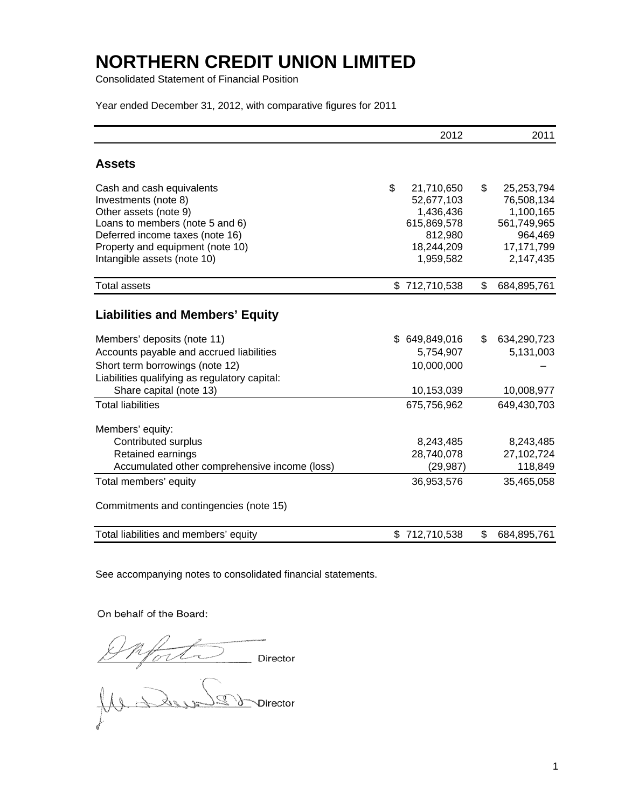Consolidated Statement of Financial Position

Year ended December 31, 2012, with comparative figures for 2011

|                                                                 | 2012                  | 2011                  |
|-----------------------------------------------------------------|-----------------------|-----------------------|
| <b>Assets</b>                                                   |                       |                       |
| Cash and cash equivalents                                       | \$<br>21,710,650      | \$<br>25,253,794      |
| Investments (note 8)                                            | 52,677,103            | 76,508,134            |
| Other assets (note 9)                                           | 1,436,436             | 1,100,165             |
| Loans to members (note 5 and 6)                                 | 615,869,578           | 561,749,965           |
| Deferred income taxes (note 16)                                 | 812,980<br>18,244,209 | 964,469<br>17,171,799 |
| Property and equipment (note 10)<br>Intangible assets (note 10) | 1,959,582             | 2,147,435             |
|                                                                 |                       |                       |
| <b>Total assets</b>                                             | \$712,710,538         | \$<br>684,895,761     |
| <b>Liabilities and Members' Equity</b>                          |                       |                       |
| Members' deposits (note 11)                                     | \$649,849,016         | \$<br>634,290,723     |
| Accounts payable and accrued liabilities                        | 5,754,907             | 5,131,003             |
| Short term borrowings (note 12)                                 | 10,000,000            |                       |
| Liabilities qualifying as regulatory capital:                   |                       |                       |
| Share capital (note 13)                                         | 10,153,039            | 10,008,977            |
| <b>Total liabilities</b>                                        | 675,756,962           | 649,430,703           |
| Members' equity:                                                |                       |                       |
| Contributed surplus                                             | 8,243,485             | 8,243,485             |
| Retained earnings                                               | 28,740,078            | 27,102,724            |
| Accumulated other comprehensive income (loss)                   | (29, 987)             | 118,849               |
| Total members' equity                                           | 36,953,576            | 35,465,058            |
| Commitments and contingencies (note 15)                         |                       |                       |
| Total liabilities and members' equity                           | \$712,710,538         | \$<br>684,895,761     |

See accompanying notes to consolidated financial statements.

### On behalf of the Board:

Onforte Director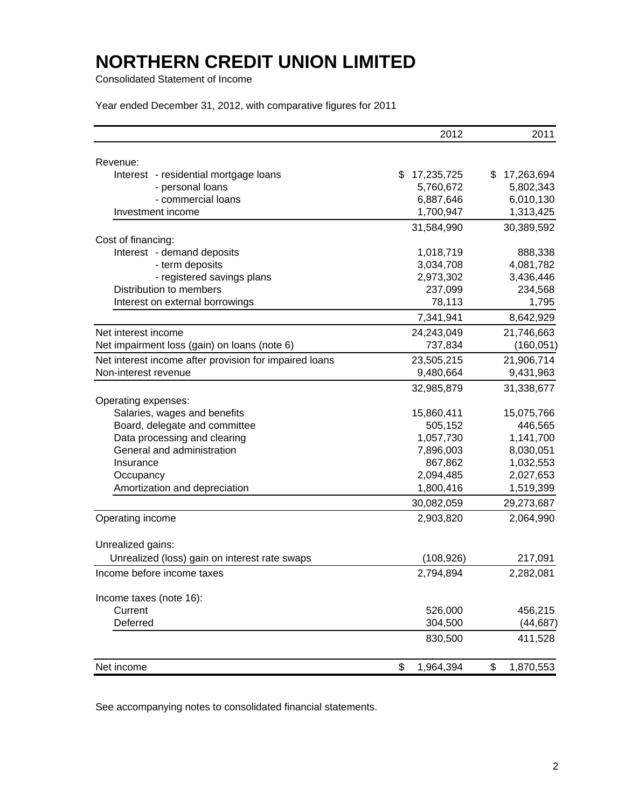Consolidated Statement of Income

Year ended December 31, 2012, with comparative figures for 2011

|                                                        | 2012             | 2011             |
|--------------------------------------------------------|------------------|------------------|
| Revenue:                                               |                  |                  |
| Interest - residential mortgage loans                  | \$<br>17,235,725 | 17,263,694<br>\$ |
| - personal loans                                       | 5,760,672        | 5,802,343        |
| - commercial loans                                     | 6,887,646        | 6,010,130        |
| Investment income                                      | 1,700,947        | 1,313,425        |
|                                                        | 31,584,990       | 30,389,592       |
| Cost of financing:                                     |                  |                  |
| Interest - demand deposits                             | 1,018,719        | 888,338          |
| - term deposits                                        | 3,034,708        | 4,081,782        |
| - registered savings plans                             | 2,973,302        | 3,436,446        |
| Distribution to members                                | 237,099          | 234,568          |
| Interest on external borrowings                        | 78,113           | 1,795            |
|                                                        | 7,341,941        | 8,642,929        |
| Net interest income                                    | 24,243,049       | 21,746,663       |
| Net impairment loss (gain) on loans (note 6)           | 737,834          | (160, 051)       |
| Net interest income after provision for impaired loans | 23,505,215       | 21,906,714       |
| Non-interest revenue                                   | 9,480,664        | 9,431,963        |
|                                                        | 32,985,879       | 31,338,677       |
| Operating expenses:                                    |                  |                  |
| Salaries, wages and benefits                           | 15,860,411       | 15,075,766       |
| Board, delegate and committee                          | 505,152          | 446,565          |
| Data processing and clearing                           | 1,057,730        | 1,141,700        |
| General and administration                             | 7,896,003        | 8,030,051        |
| Insurance                                              | 867,862          | 1,032,553        |
| Occupancy                                              | 2,094,485        | 2,027,653        |
| Amortization and depreciation                          | 1,800,416        | 1,519,399        |
|                                                        | 30,082,059       | 29,273,687       |
| Operating income                                       | 2,903,820        | 2,064,990        |
| Unrealized gains:                                      |                  |                  |
| Unrealized (loss) gain on interest rate swaps          | (108, 926)       | 217,091          |
| Income before income taxes                             | 2,794,894        | 2,282,081        |
| Income taxes (note 16):                                |                  |                  |
| Current                                                | 526,000          | 456,215          |
| Deferred                                               | 304,500          | (44, 687)        |
|                                                        | 830,500          | 411,528          |
| Net income                                             | \$<br>1,964,394  | \$<br>1,870,553  |

See accompanying notes to consolidated financial statements.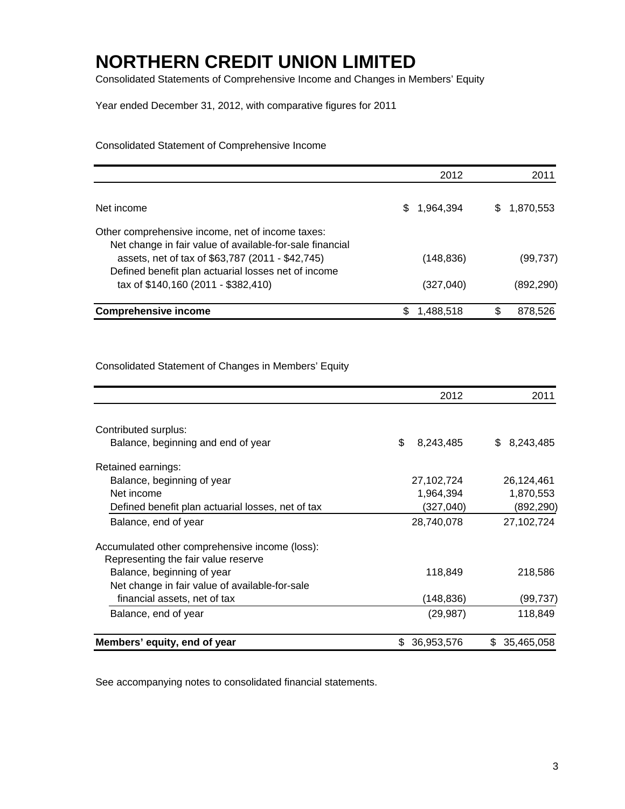Consolidated Statements of Comprehensive Income and Changes in Members' Equity

Year ended December 31, 2012, with comparative figures for 2011

Consolidated Statement of Comprehensive Income

|                                                                                                              | 2012       | 2011            |
|--------------------------------------------------------------------------------------------------------------|------------|-----------------|
| Net income                                                                                                   | 1,964,394  | 1,870,553<br>35 |
| Other comprehensive income, net of income taxes:<br>Net change in fair value of available-for-sale financial |            |                 |
| assets, net of tax of \$63,787 (2011 - \$42,745)<br>Defined benefit plan actuarial losses net of income      | (148, 836) | (99,737)        |
| tax of \$140,160 (2011 - \$382,410)                                                                          | (327, 040) | (892,290)       |
| <b>Comprehensive income</b>                                                                                  | 1,488,518  | S.<br>878,526   |

Consolidated Statement of Changes in Members' Equity

|                                                   | 2012              | 2011           |
|---------------------------------------------------|-------------------|----------------|
|                                                   |                   |                |
| Contributed surplus:                              |                   |                |
| Balance, beginning and end of year                | \$<br>8,243,485   | 8,243,485<br>S |
| Retained earnings:                                |                   |                |
| Balance, beginning of year                        | 27,102,724        | 26,124,461     |
| Net income                                        | 1,964,394         | 1,870,553      |
| Defined benefit plan actuarial losses, net of tax | (327, 040)        | (892,290)      |
| Balance, end of year                              | 28,740,078        | 27,102,724     |
| Accumulated other comprehensive income (loss):    |                   |                |
| Representing the fair value reserve               |                   |                |
| Balance, beginning of year                        | 118,849           | 218,586        |
| Net change in fair value of available-for-sale    |                   |                |
| financial assets, net of tax                      | (148,836)         | (99,737)       |
| Balance, end of year                              | (29, 987)         | 118,849        |
| Members' equity, end of year                      | 36,953,576<br>\$. | \$ 35,465,058  |

See accompanying notes to consolidated financial statements.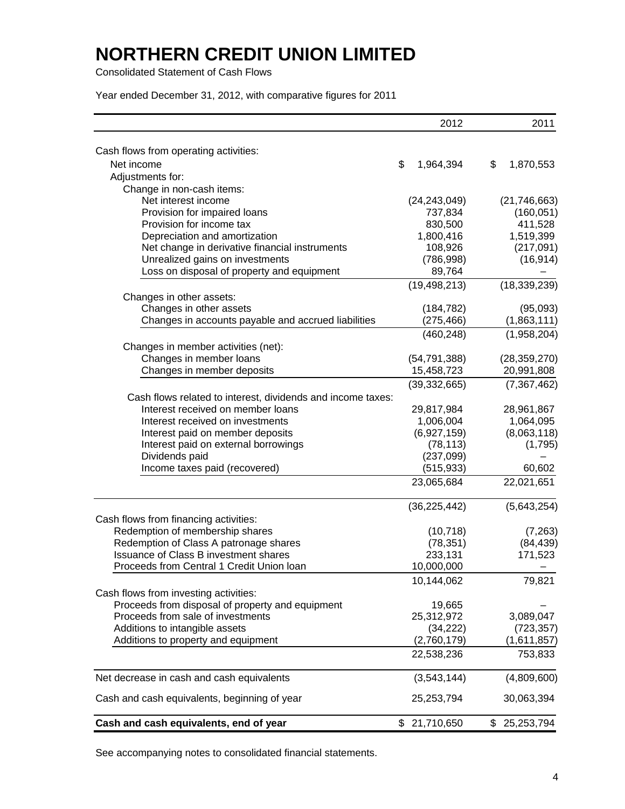Consolidated Statement of Cash Flows

Year ended December 31, 2012, with comparative figures for 2011

|                                                             | 2012             | 2011             |
|-------------------------------------------------------------|------------------|------------------|
|                                                             |                  |                  |
| Cash flows from operating activities:<br>Net income         | \$<br>1,964,394  | \$<br>1,870,553  |
|                                                             |                  |                  |
| Adjustments for:                                            |                  |                  |
| Change in non-cash items:                                   |                  |                  |
| Net interest income                                         | (24, 243, 049)   | (21, 746, 663)   |
| Provision for impaired loans                                | 737,834          | (160, 051)       |
| Provision for income tax                                    | 830,500          | 411,528          |
| Depreciation and amortization                               | 1,800,416        | 1,519,399        |
| Net change in derivative financial instruments              | 108,926          | (217,091)        |
| Unrealized gains on investments                             | (786, 998)       | (16, 914)        |
| Loss on disposal of property and equipment                  | 89,764           |                  |
|                                                             | (19, 498, 213)   | (18, 339, 239)   |
| Changes in other assets:                                    |                  |                  |
| Changes in other assets                                     | (184, 782)       | (95,093)         |
| Changes in accounts payable and accrued liabilities         | (275, 466)       | (1,863,111)      |
|                                                             | (460, 248)       | (1,958,204)      |
| Changes in member activities (net):                         |                  |                  |
| Changes in member loans                                     | (54, 791, 388)   | (28, 359, 270)   |
| Changes in member deposits                                  | 15,458,723       | 20,991,808       |
|                                                             | (39, 332, 665)   |                  |
|                                                             |                  | (7, 367, 462)    |
| Cash flows related to interest, dividends and income taxes: |                  |                  |
| Interest received on member loans                           | 29,817,984       | 28,961,867       |
| Interest received on investments                            | 1,006,004        | 1,064,095        |
| Interest paid on member deposits                            | (6,927,159)      | (8,063,118)      |
| Interest paid on external borrowings                        | (78, 113)        | (1,795)          |
| Dividends paid                                              | (237,099)        |                  |
| Income taxes paid (recovered)                               | (515, 933)       | 60,602           |
|                                                             | 23,065,684       | 22,021,651       |
|                                                             | (36, 225, 442)   | (5,643,254)      |
| Cash flows from financing activities:                       |                  |                  |
| Redemption of membership shares                             | (10, 718)        | (7, 263)         |
| Redemption of Class A patronage shares                      | (78, 351)        | (84, 439)        |
| <b>Issuance of Class B investment shares</b>                | 233,131          | 171,523          |
| Proceeds from Central 1 Credit Union Ioan                   | 10,000,000       |                  |
|                                                             | 10,144,062       | 79,821           |
| Cash flows from investing activities:                       |                  |                  |
| Proceeds from disposal of property and equipment            | 19,665           |                  |
| Proceeds from sale of investments                           | 25,312,972       | 3,089,047        |
| Additions to intangible assets                              | (34, 222)        | (723, 357)       |
| Additions to property and equipment                         | (2,760,179)      | (1,611,857)      |
|                                                             | 22,538,236       | 753,833          |
| Net decrease in cash and cash equivalents                   | (3,543,144)      | (4,809,600)      |
|                                                             |                  |                  |
| Cash and cash equivalents, beginning of year                | 25,253,794       | 30,063,394       |
| Cash and cash equivalents, end of year                      | 21,710,650<br>\$ | \$<br>25,253,794 |

See accompanying notes to consolidated financial statements.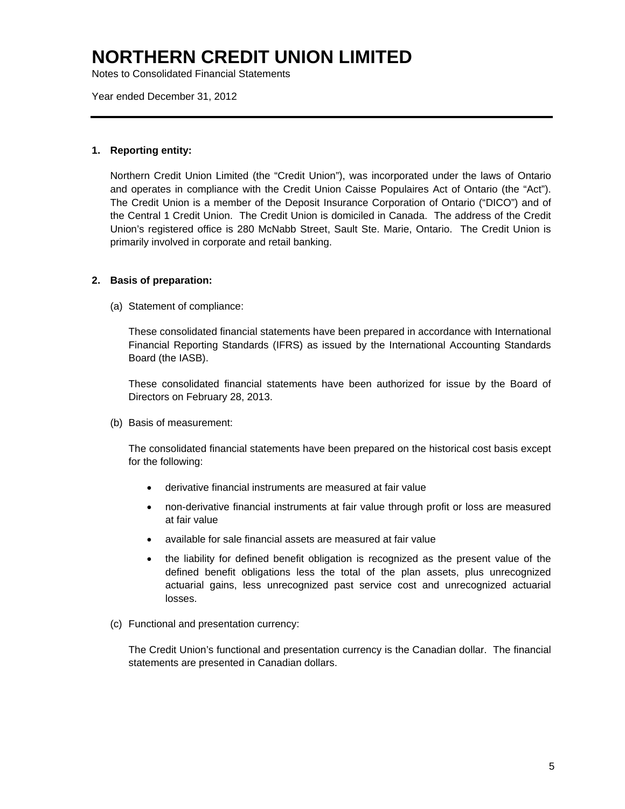Notes to Consolidated Financial Statements

Year ended December 31, 2012

#### **1. Reporting entity:**

Northern Credit Union Limited (the "Credit Union"), was incorporated under the laws of Ontario and operates in compliance with the Credit Union Caisse Populaires Act of Ontario (the "Act"). The Credit Union is a member of the Deposit Insurance Corporation of Ontario ("DICO") and of the Central 1 Credit Union. The Credit Union is domiciled in Canada. The address of the Credit Union's registered office is 280 McNabb Street, Sault Ste. Marie, Ontario. The Credit Union is primarily involved in corporate and retail banking.

### **2. Basis of preparation:**

(a) Statement of compliance:

These consolidated financial statements have been prepared in accordance with International Financial Reporting Standards (IFRS) as issued by the International Accounting Standards Board (the IASB).

These consolidated financial statements have been authorized for issue by the Board of Directors on February 28, 2013.

(b) Basis of measurement:

The consolidated financial statements have been prepared on the historical cost basis except for the following:

- derivative financial instruments are measured at fair value
- non-derivative financial instruments at fair value through profit or loss are measured at fair value
- available for sale financial assets are measured at fair value
- the liability for defined benefit obligation is recognized as the present value of the defined benefit obligations less the total of the plan assets, plus unrecognized actuarial gains, less unrecognized past service cost and unrecognized actuarial losses.
- (c) Functional and presentation currency:

The Credit Union's functional and presentation currency is the Canadian dollar. The financial statements are presented in Canadian dollars.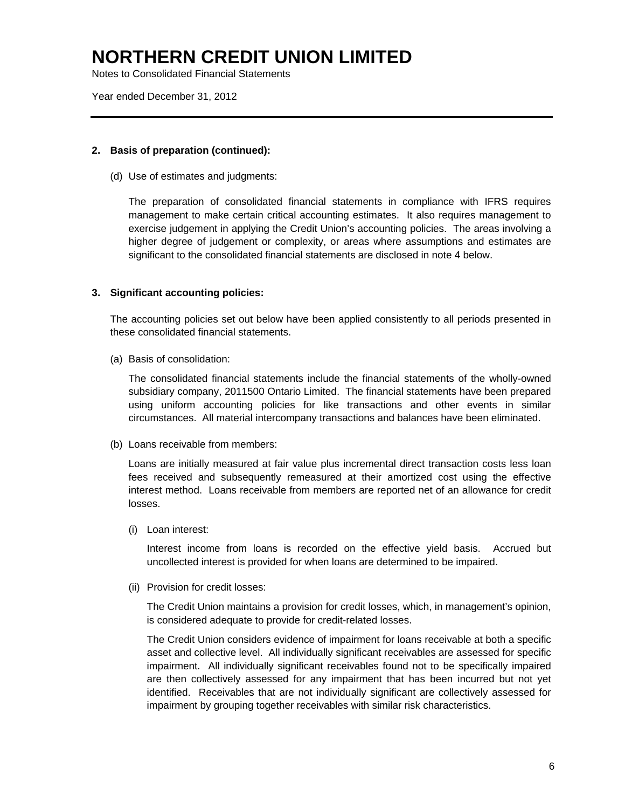Notes to Consolidated Financial Statements

Year ended December 31, 2012

#### **2. Basis of preparation (continued):**

(d) Use of estimates and judgments:

The preparation of consolidated financial statements in compliance with IFRS requires management to make certain critical accounting estimates. It also requires management to exercise judgement in applying the Credit Union's accounting policies. The areas involving a higher degree of judgement or complexity, or areas where assumptions and estimates are significant to the consolidated financial statements are disclosed in note 4 below.

### **3. Significant accounting policies:**

The accounting policies set out below have been applied consistently to all periods presented in these consolidated financial statements.

(a) Basis of consolidation:

The consolidated financial statements include the financial statements of the wholly-owned subsidiary company, 2011500 Ontario Limited. The financial statements have been prepared using uniform accounting policies for like transactions and other events in similar circumstances. All material intercompany transactions and balances have been eliminated.

(b) Loans receivable from members:

Loans are initially measured at fair value plus incremental direct transaction costs less loan fees received and subsequently remeasured at their amortized cost using the effective interest method. Loans receivable from members are reported net of an allowance for credit losses.

(i) Loan interest:

 Interest income from loans is recorded on the effective yield basis. Accrued but uncollected interest is provided for when loans are determined to be impaired.

(ii) Provision for credit losses:

 The Credit Union maintains a provision for credit losses, which, in management's opinion, is considered adequate to provide for credit-related losses.

 The Credit Union considers evidence of impairment for loans receivable at both a specific asset and collective level. All individually significant receivables are assessed for specific impairment. All individually significant receivables found not to be specifically impaired are then collectively assessed for any impairment that has been incurred but not yet identified. Receivables that are not individually significant are collectively assessed for impairment by grouping together receivables with similar risk characteristics.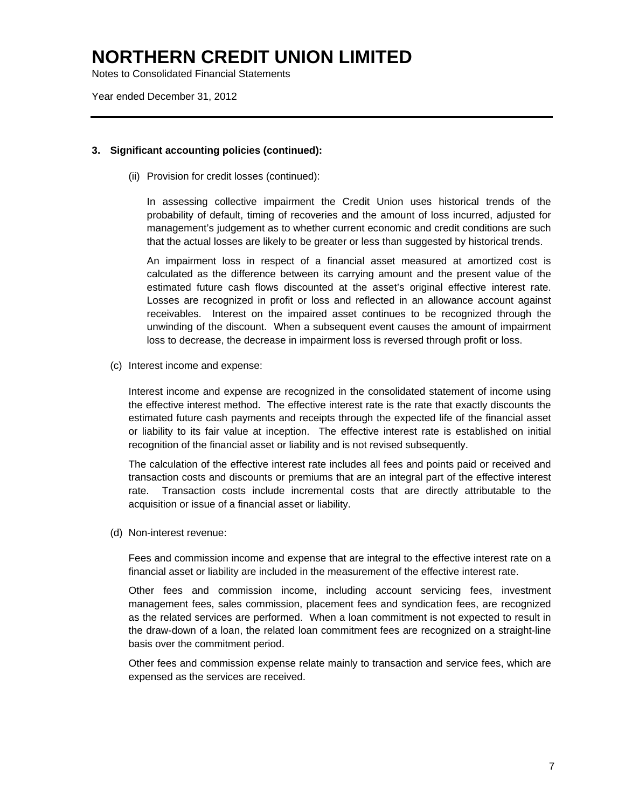Notes to Consolidated Financial Statements

Year ended December 31, 2012

### **3. Significant accounting policies (continued):**

(ii) Provision for credit losses (continued):

 In assessing collective impairment the Credit Union uses historical trends of the probability of default, timing of recoveries and the amount of loss incurred, adjusted for management's judgement as to whether current economic and credit conditions are such that the actual losses are likely to be greater or less than suggested by historical trends.

 An impairment loss in respect of a financial asset measured at amortized cost is calculated as the difference between its carrying amount and the present value of the estimated future cash flows discounted at the asset's original effective interest rate. Losses are recognized in profit or loss and reflected in an allowance account against receivables. Interest on the impaired asset continues to be recognized through the unwinding of the discount. When a subsequent event causes the amount of impairment loss to decrease, the decrease in impairment loss is reversed through profit or loss.

(c) Interest income and expense:

 Interest income and expense are recognized in the consolidated statement of income using the effective interest method. The effective interest rate is the rate that exactly discounts the estimated future cash payments and receipts through the expected life of the financial asset or liability to its fair value at inception. The effective interest rate is established on initial recognition of the financial asset or liability and is not revised subsequently.

 The calculation of the effective interest rate includes all fees and points paid or received and transaction costs and discounts or premiums that are an integral part of the effective interest rate. Transaction costs include incremental costs that are directly attributable to the acquisition or issue of a financial asset or liability.

(d) Non-interest revenue:

Fees and commission income and expense that are integral to the effective interest rate on a financial asset or liability are included in the measurement of the effective interest rate.

Other fees and commission income, including account servicing fees, investment management fees, sales commission, placement fees and syndication fees, are recognized as the related services are performed. When a loan commitment is not expected to result in the draw-down of a loan, the related loan commitment fees are recognized on a straight-line basis over the commitment period.

Other fees and commission expense relate mainly to transaction and service fees, which are expensed as the services are received.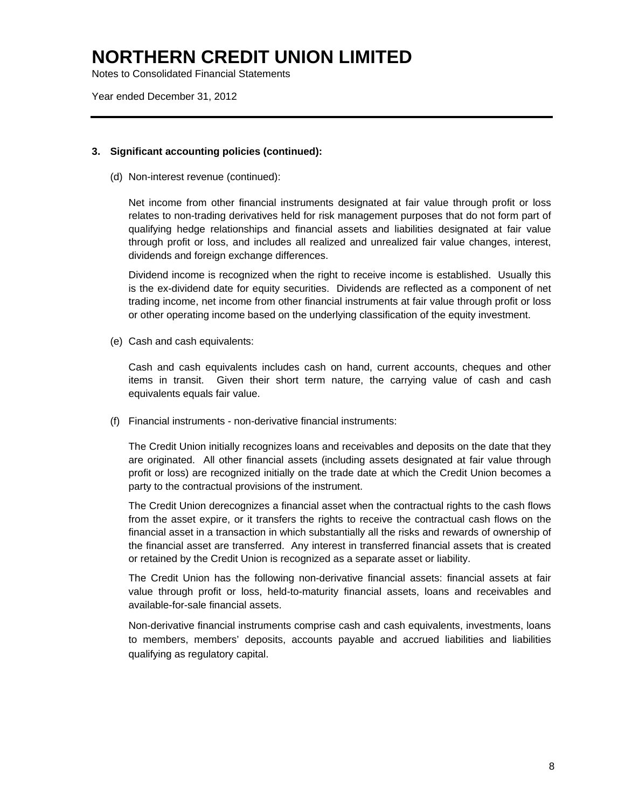Notes to Consolidated Financial Statements

Year ended December 31, 2012

### **3. Significant accounting policies (continued):**

(d) Non-interest revenue (continued):

Net income from other financial instruments designated at fair value through profit or loss relates to non-trading derivatives held for risk management purposes that do not form part of qualifying hedge relationships and financial assets and liabilities designated at fair value through profit or loss, and includes all realized and unrealized fair value changes, interest, dividends and foreign exchange differences.

Dividend income is recognized when the right to receive income is established. Usually this is the ex-dividend date for equity securities. Dividends are reflected as a component of net trading income, net income from other financial instruments at fair value through profit or loss or other operating income based on the underlying classification of the equity investment.

(e) Cash and cash equivalents:

Cash and cash equivalents includes cash on hand, current accounts, cheques and other items in transit. Given their short term nature, the carrying value of cash and cash equivalents equals fair value.

(f) Financial instruments - non-derivative financial instruments:

 The Credit Union initially recognizes loans and receivables and deposits on the date that they are originated. All other financial assets (including assets designated at fair value through profit or loss) are recognized initially on the trade date at which the Credit Union becomes a party to the contractual provisions of the instrument.

The Credit Union derecognizes a financial asset when the contractual rights to the cash flows from the asset expire, or it transfers the rights to receive the contractual cash flows on the financial asset in a transaction in which substantially all the risks and rewards of ownership of the financial asset are transferred. Any interest in transferred financial assets that is created or retained by the Credit Union is recognized as a separate asset or liability.

The Credit Union has the following non-derivative financial assets: financial assets at fair value through profit or loss, held-to-maturity financial assets, loans and receivables and available-for-sale financial assets.

 Non-derivative financial instruments comprise cash and cash equivalents, investments, loans to members, members' deposits, accounts payable and accrued liabilities and liabilities qualifying as regulatory capital.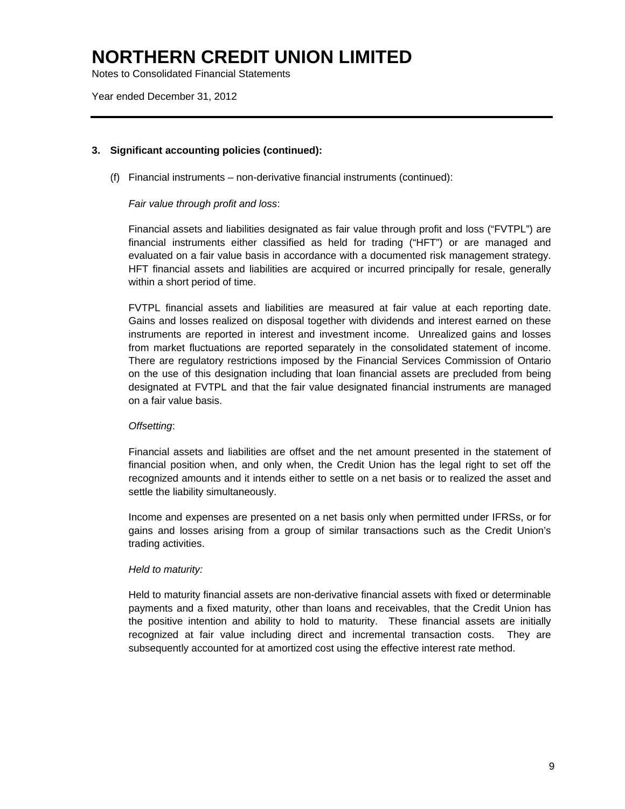Notes to Consolidated Financial Statements

Year ended December 31, 2012

### **3. Significant accounting policies (continued):**

(f) Financial instruments – non-derivative financial instruments (continued):

### *Fair value through profit and loss*:

 Financial assets and liabilities designated as fair value through profit and loss ("FVTPL") are financial instruments either classified as held for trading ("HFT") or are managed and evaluated on a fair value basis in accordance with a documented risk management strategy. HFT financial assets and liabilities are acquired or incurred principally for resale, generally within a short period of time.

 FVTPL financial assets and liabilities are measured at fair value at each reporting date. Gains and losses realized on disposal together with dividends and interest earned on these instruments are reported in interest and investment income. Unrealized gains and losses from market fluctuations are reported separately in the consolidated statement of income. There are regulatory restrictions imposed by the Financial Services Commission of Ontario on the use of this designation including that loan financial assets are precluded from being designated at FVTPL and that the fair value designated financial instruments are managed on a fair value basis.

### *Offsetting*:

Financial assets and liabilities are offset and the net amount presented in the statement of financial position when, and only when, the Credit Union has the legal right to set off the recognized amounts and it intends either to settle on a net basis or to realized the asset and settle the liability simultaneously.

Income and expenses are presented on a net basis only when permitted under IFRSs, or for gains and losses arising from a group of similar transactions such as the Credit Union's trading activities.

#### *Held to maturity:*

Held to maturity financial assets are non-derivative financial assets with fixed or determinable payments and a fixed maturity, other than loans and receivables, that the Credit Union has the positive intention and ability to hold to maturity. These financial assets are initially recognized at fair value including direct and incremental transaction costs. They are subsequently accounted for at amortized cost using the effective interest rate method.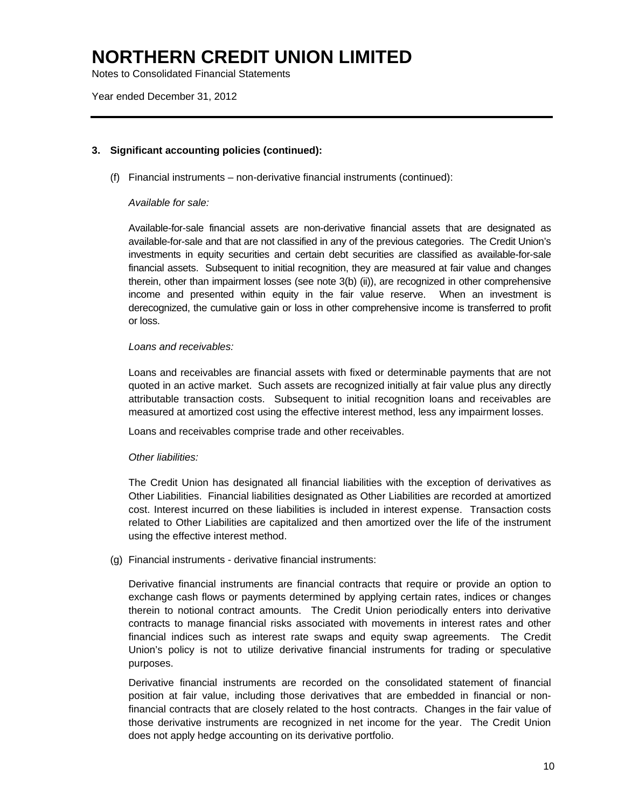Notes to Consolidated Financial Statements

Year ended December 31, 2012

### **3. Significant accounting policies (continued):**

(f) Financial instruments – non-derivative financial instruments (continued):

### *Available for sale:*

 Available-for-sale financial assets are non-derivative financial assets that are designated as available-for-sale and that are not classified in any of the previous categories. The Credit Union's investments in equity securities and certain debt securities are classified as available-for-sale financial assets. Subsequent to initial recognition, they are measured at fair value and changes therein, other than impairment losses (see note 3(b) (ii)), are recognized in other comprehensive income and presented within equity in the fair value reserve. When an investment is derecognized, the cumulative gain or loss in other comprehensive income is transferred to profit or loss.

### *Loans and receivables:*

 Loans and receivables are financial assets with fixed or determinable payments that are not quoted in an active market. Such assets are recognized initially at fair value plus any directly attributable transaction costs. Subsequent to initial recognition loans and receivables are measured at amortized cost using the effective interest method, less any impairment losses.

Loans and receivables comprise trade and other receivables.

#### *Other liabilities:*

 The Credit Union has designated all financial liabilities with the exception of derivatives as Other Liabilities. Financial liabilities designated as Other Liabilities are recorded at amortized cost. Interest incurred on these liabilities is included in interest expense. Transaction costs related to Other Liabilities are capitalized and then amortized over the life of the instrument using the effective interest method.

(g) Financial instruments - derivative financial instruments:

 Derivative financial instruments are financial contracts that require or provide an option to exchange cash flows or payments determined by applying certain rates, indices or changes therein to notional contract amounts. The Credit Union periodically enters into derivative contracts to manage financial risks associated with movements in interest rates and other financial indices such as interest rate swaps and equity swap agreements. The Credit Union's policy is not to utilize derivative financial instruments for trading or speculative purposes.

Derivative financial instruments are recorded on the consolidated statement of financial position at fair value, including those derivatives that are embedded in financial or nonfinancial contracts that are closely related to the host contracts. Changes in the fair value of those derivative instruments are recognized in net income for the year. The Credit Union does not apply hedge accounting on its derivative portfolio.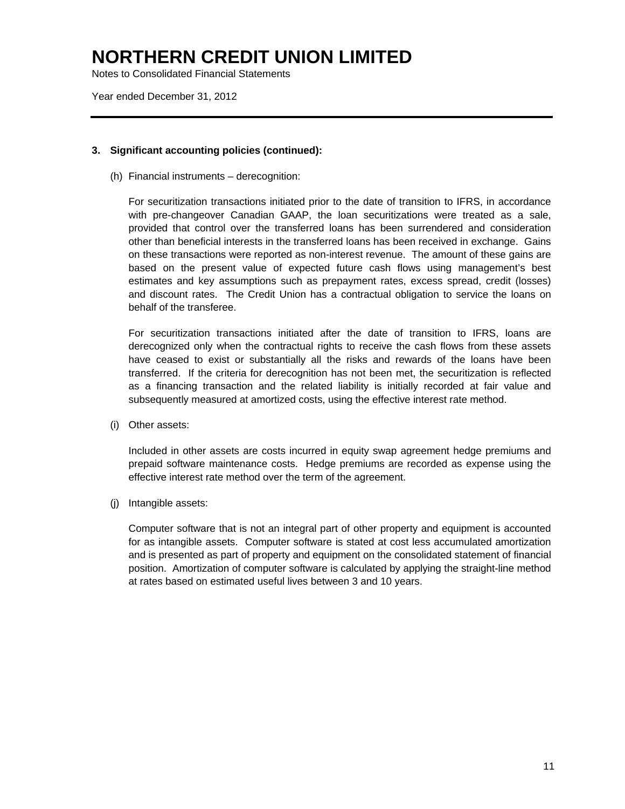Notes to Consolidated Financial Statements

Year ended December 31, 2012

#### **3. Significant accounting policies (continued):**

(h) Financial instruments – derecognition:

For securitization transactions initiated prior to the date of transition to IFRS, in accordance with pre-changeover Canadian GAAP, the loan securitizations were treated as a sale, provided that control over the transferred loans has been surrendered and consideration other than beneficial interests in the transferred loans has been received in exchange. Gains on these transactions were reported as non-interest revenue. The amount of these gains are based on the present value of expected future cash flows using management's best estimates and key assumptions such as prepayment rates, excess spread, credit (losses) and discount rates. The Credit Union has a contractual obligation to service the loans on behalf of the transferee.

For securitization transactions initiated after the date of transition to IFRS, loans are derecognized only when the contractual rights to receive the cash flows from these assets have ceased to exist or substantially all the risks and rewards of the loans have been transferred. If the criteria for derecognition has not been met, the securitization is reflected as a financing transaction and the related liability is initially recorded at fair value and subsequently measured at amortized costs, using the effective interest rate method.

(i) Other assets:

 Included in other assets are costs incurred in equity swap agreement hedge premiums and prepaid software maintenance costs. Hedge premiums are recorded as expense using the effective interest rate method over the term of the agreement.

(j) Intangible assets:

Computer software that is not an integral part of other property and equipment is accounted for as intangible assets. Computer software is stated at cost less accumulated amortization and is presented as part of property and equipment on the consolidated statement of financial position. Amortization of computer software is calculated by applying the straight-line method at rates based on estimated useful lives between 3 and 10 years.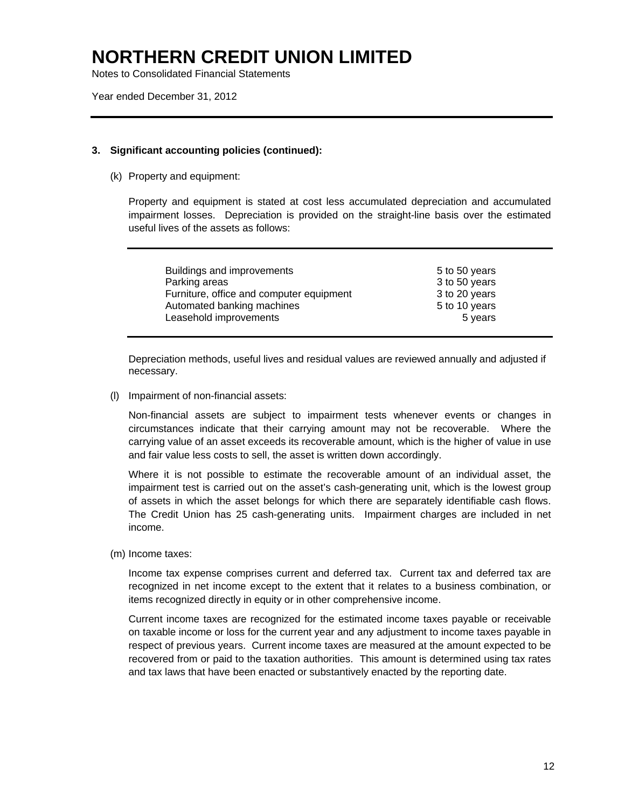Notes to Consolidated Financial Statements

Year ended December 31, 2012

### **3. Significant accounting policies (continued):**

(k) Property and equipment:

 Property and equipment is stated at cost less accumulated depreciation and accumulated impairment losses. Depreciation is provided on the straight-line basis over the estimated useful lives of the assets as follows:

| Buildings and improvements               | 5 to 50 years |
|------------------------------------------|---------------|
| Parking areas                            | 3 to 50 years |
| Furniture, office and computer equipment | 3 to 20 years |
| Automated banking machines               | 5 to 10 years |
| Leasehold improvements                   | 5 years       |

Depreciation methods, useful lives and residual values are reviewed annually and adjusted if necessary.

(l) Impairment of non-financial assets:

Non-financial assets are subject to impairment tests whenever events or changes in circumstances indicate that their carrying amount may not be recoverable. Where the carrying value of an asset exceeds its recoverable amount, which is the higher of value in use and fair value less costs to sell, the asset is written down accordingly.

Where it is not possible to estimate the recoverable amount of an individual asset, the impairment test is carried out on the asset's cash-generating unit, which is the lowest group of assets in which the asset belongs for which there are separately identifiable cash flows. The Credit Union has 25 cash-generating units. Impairment charges are included in net income.

(m) Income taxes:

 Income tax expense comprises current and deferred tax. Current tax and deferred tax are recognized in net income except to the extent that it relates to a business combination, or items recognized directly in equity or in other comprehensive income.

 Current income taxes are recognized for the estimated income taxes payable or receivable on taxable income or loss for the current year and any adjustment to income taxes payable in respect of previous years. Current income taxes are measured at the amount expected to be recovered from or paid to the taxation authorities. This amount is determined using tax rates and tax laws that have been enacted or substantively enacted by the reporting date.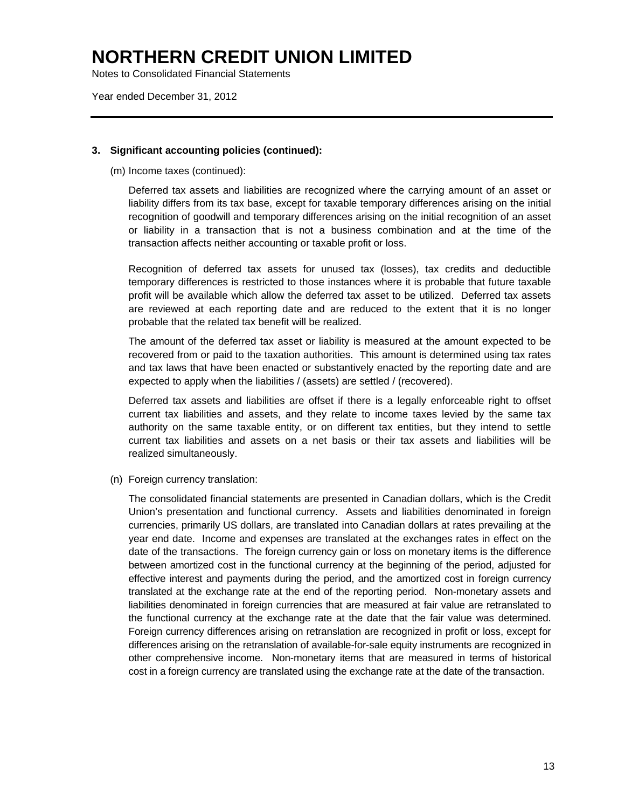Notes to Consolidated Financial Statements

Year ended December 31, 2012

#### **3. Significant accounting policies (continued):**

(m) Income taxes (continued):

 Deferred tax assets and liabilities are recognized where the carrying amount of an asset or liability differs from its tax base, except for taxable temporary differences arising on the initial recognition of goodwill and temporary differences arising on the initial recognition of an asset or liability in a transaction that is not a business combination and at the time of the transaction affects neither accounting or taxable profit or loss.

 Recognition of deferred tax assets for unused tax (losses), tax credits and deductible temporary differences is restricted to those instances where it is probable that future taxable profit will be available which allow the deferred tax asset to be utilized. Deferred tax assets are reviewed at each reporting date and are reduced to the extent that it is no longer probable that the related tax benefit will be realized.

 The amount of the deferred tax asset or liability is measured at the amount expected to be recovered from or paid to the taxation authorities. This amount is determined using tax rates and tax laws that have been enacted or substantively enacted by the reporting date and are expected to apply when the liabilities / (assets) are settled / (recovered).

Deferred tax assets and liabilities are offset if there is a legally enforceable right to offset current tax liabilities and assets, and they relate to income taxes levied by the same tax authority on the same taxable entity, or on different tax entities, but they intend to settle current tax liabilities and assets on a net basis or their tax assets and liabilities will be realized simultaneously.

(n) Foreign currency translation:

 The consolidated financial statements are presented in Canadian dollars, which is the Credit Union's presentation and functional currency. Assets and liabilities denominated in foreign currencies, primarily US dollars, are translated into Canadian dollars at rates prevailing at the year end date. Income and expenses are translated at the exchanges rates in effect on the date of the transactions. The foreign currency gain or loss on monetary items is the difference between amortized cost in the functional currency at the beginning of the period, adjusted for effective interest and payments during the period, and the amortized cost in foreign currency translated at the exchange rate at the end of the reporting period. Non-monetary assets and liabilities denominated in foreign currencies that are measured at fair value are retranslated to the functional currency at the exchange rate at the date that the fair value was determined. Foreign currency differences arising on retranslation are recognized in profit or loss, except for differences arising on the retranslation of available-for-sale equity instruments are recognized in other comprehensive income. Non-monetary items that are measured in terms of historical cost in a foreign currency are translated using the exchange rate at the date of the transaction.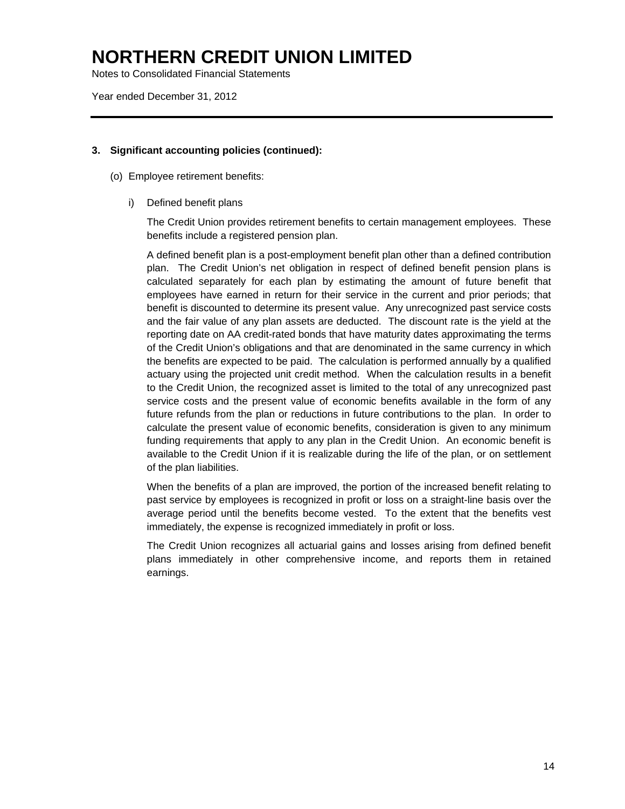Notes to Consolidated Financial Statements

Year ended December 31, 2012

### **3. Significant accounting policies (continued):**

- (o) Employee retirement benefits:
	- i) Defined benefit plans

The Credit Union provides retirement benefits to certain management employees. These benefits include a registered pension plan.

A defined benefit plan is a post-employment benefit plan other than a defined contribution plan. The Credit Union's net obligation in respect of defined benefit pension plans is calculated separately for each plan by estimating the amount of future benefit that employees have earned in return for their service in the current and prior periods; that benefit is discounted to determine its present value. Any unrecognized past service costs and the fair value of any plan assets are deducted. The discount rate is the yield at the reporting date on AA credit-rated bonds that have maturity dates approximating the terms of the Credit Union's obligations and that are denominated in the same currency in which the benefits are expected to be paid. The calculation is performed annually by a qualified actuary using the projected unit credit method. When the calculation results in a benefit to the Credit Union, the recognized asset is limited to the total of any unrecognized past service costs and the present value of economic benefits available in the form of any future refunds from the plan or reductions in future contributions to the plan. In order to calculate the present value of economic benefits, consideration is given to any minimum funding requirements that apply to any plan in the Credit Union. An economic benefit is available to the Credit Union if it is realizable during the life of the plan, or on settlement of the plan liabilities.

When the benefits of a plan are improved, the portion of the increased benefit relating to past service by employees is recognized in profit or loss on a straight-line basis over the average period until the benefits become vested. To the extent that the benefits vest immediately, the expense is recognized immediately in profit or loss.

The Credit Union recognizes all actuarial gains and losses arising from defined benefit plans immediately in other comprehensive income, and reports them in retained earnings.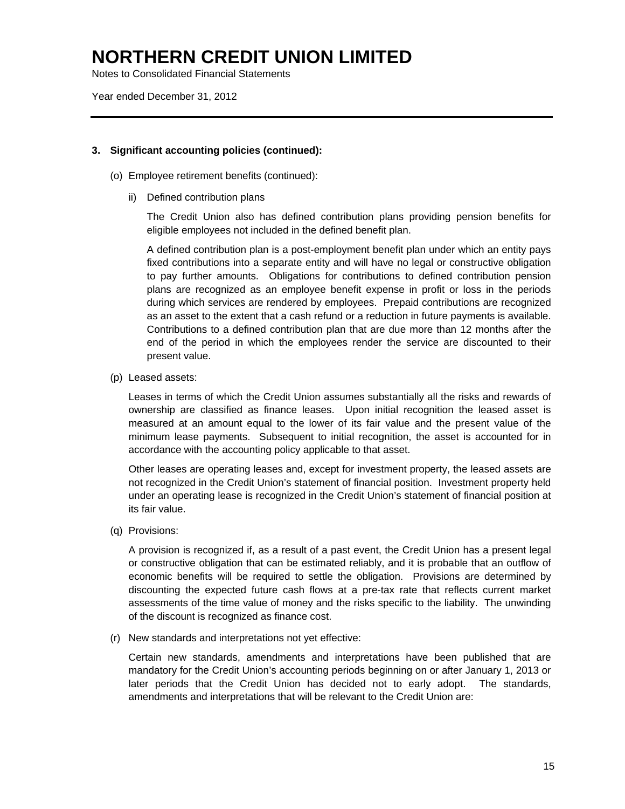Notes to Consolidated Financial Statements

Year ended December 31, 2012

#### **3. Significant accounting policies (continued):**

- (o) Employee retirement benefits (continued):
	- ii) Defined contribution plans

The Credit Union also has defined contribution plans providing pension benefits for eligible employees not included in the defined benefit plan.

A defined contribution plan is a post-employment benefit plan under which an entity pays fixed contributions into a separate entity and will have no legal or constructive obligation to pay further amounts. Obligations for contributions to defined contribution pension plans are recognized as an employee benefit expense in profit or loss in the periods during which services are rendered by employees. Prepaid contributions are recognized as an asset to the extent that a cash refund or a reduction in future payments is available. Contributions to a defined contribution plan that are due more than 12 months after the end of the period in which the employees render the service are discounted to their present value.

(p) Leased assets:

 Leases in terms of which the Credit Union assumes substantially all the risks and rewards of ownership are classified as finance leases. Upon initial recognition the leased asset is measured at an amount equal to the lower of its fair value and the present value of the minimum lease payments. Subsequent to initial recognition, the asset is accounted for in accordance with the accounting policy applicable to that asset.

 Other leases are operating leases and, except for investment property, the leased assets are not recognized in the Credit Union's statement of financial position. Investment property held under an operating lease is recognized in the Credit Union's statement of financial position at its fair value.

(q) Provisions:

A provision is recognized if, as a result of a past event, the Credit Union has a present legal or constructive obligation that can be estimated reliably, and it is probable that an outflow of economic benefits will be required to settle the obligation. Provisions are determined by discounting the expected future cash flows at a pre-tax rate that reflects current market assessments of the time value of money and the risks specific to the liability. The unwinding of the discount is recognized as finance cost.

(r) New standards and interpretations not yet effective:

Certain new standards, amendments and interpretations have been published that are mandatory for the Credit Union's accounting periods beginning on or after January 1, 2013 or later periods that the Credit Union has decided not to early adopt. The standards, amendments and interpretations that will be relevant to the Credit Union are: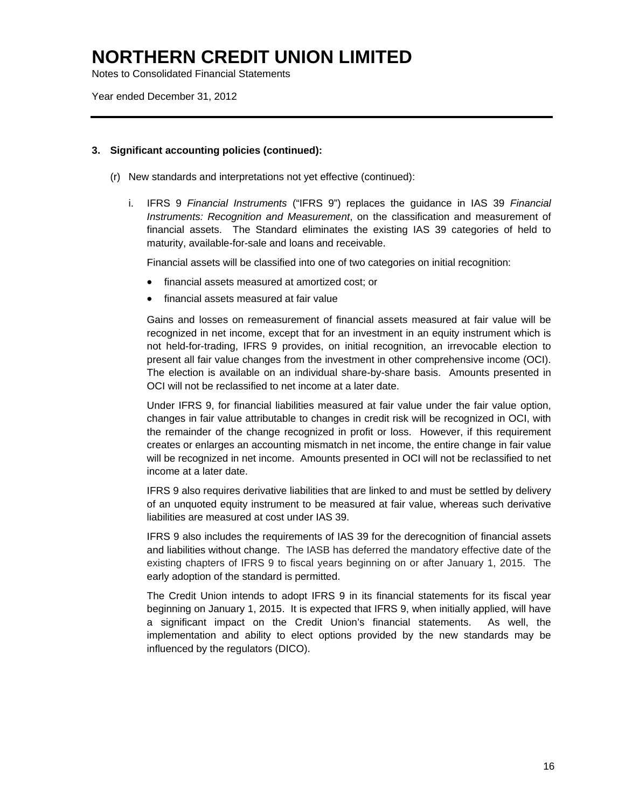Notes to Consolidated Financial Statements

Year ended December 31, 2012

### **3. Significant accounting policies (continued):**

- (r) New standards and interpretations not yet effective (continued):
	- i. IFRS 9 *Financial Instruments* ("IFRS 9") replaces the guidance in IAS 39 *Financial Instruments: Recognition and Measurement*, on the classification and measurement of financial assets. The Standard eliminates the existing IAS 39 categories of held to maturity, available-for-sale and loans and receivable.

Financial assets will be classified into one of two categories on initial recognition:

- financial assets measured at amortized cost; or
- financial assets measured at fair value

Gains and losses on remeasurement of financial assets measured at fair value will be recognized in net income, except that for an investment in an equity instrument which is not held-for-trading, IFRS 9 provides, on initial recognition, an irrevocable election to present all fair value changes from the investment in other comprehensive income (OCI). The election is available on an individual share-by-share basis. Amounts presented in OCI will not be reclassified to net income at a later date.

Under IFRS 9, for financial liabilities measured at fair value under the fair value option, changes in fair value attributable to changes in credit risk will be recognized in OCI, with the remainder of the change recognized in profit or loss. However, if this requirement creates or enlarges an accounting mismatch in net income, the entire change in fair value will be recognized in net income. Amounts presented in OCI will not be reclassified to net income at a later date.

IFRS 9 also requires derivative liabilities that are linked to and must be settled by delivery of an unquoted equity instrument to be measured at fair value, whereas such derivative liabilities are measured at cost under IAS 39.

IFRS 9 also includes the requirements of IAS 39 for the derecognition of financial assets and liabilities without change. The IASB has deferred the mandatory effective date of the existing chapters of IFRS 9 to fiscal years beginning on or after January 1, 2015. The early adoption of the standard is permitted.

The Credit Union intends to adopt IFRS 9 in its financial statements for its fiscal year beginning on January 1, 2015. It is expected that IFRS 9, when initially applied, will have a significant impact on the Credit Union's financial statements. As well, the implementation and ability to elect options provided by the new standards may be influenced by the regulators (DICO).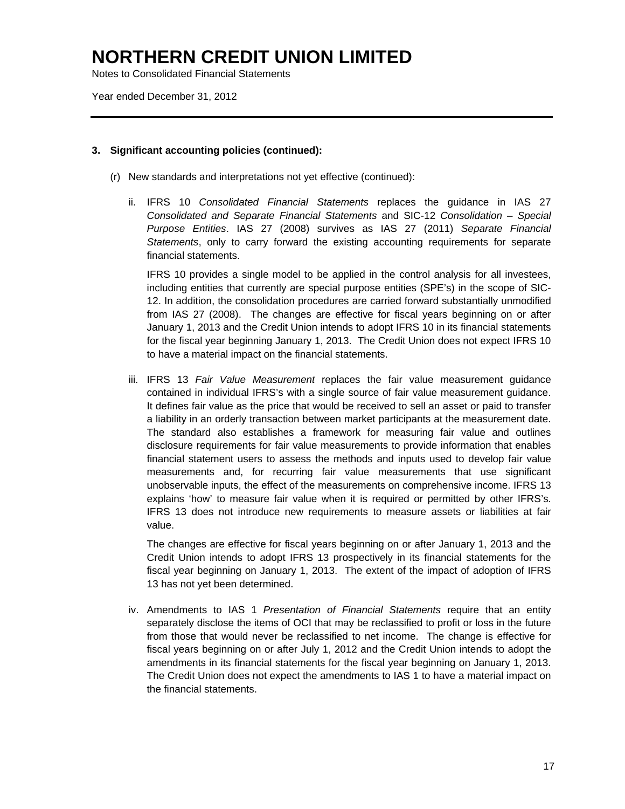Notes to Consolidated Financial Statements

Year ended December 31, 2012

#### **3. Significant accounting policies (continued):**

- (r) New standards and interpretations not yet effective (continued):
	- ii. IFRS 10 *Consolidated Financial Statements* replaces the guidance in IAS 27 *Consolidated and Separate Financial Statements* and SIC-12 *Consolidation – Special Purpose Entities*. IAS 27 (2008) survives as IAS 27 (2011) *Separate Financial Statements*, only to carry forward the existing accounting requirements for separate financial statements.

 IFRS 10 provides a single model to be applied in the control analysis for all investees, including entities that currently are special purpose entities (SPE's) in the scope of SIC-12. In addition, the consolidation procedures are carried forward substantially unmodified from IAS 27 (2008). The changes are effective for fiscal years beginning on or after January 1, 2013 and the Credit Union intends to adopt IFRS 10 in its financial statements for the fiscal year beginning January 1, 2013. The Credit Union does not expect IFRS 10 to have a material impact on the financial statements.

iii. IFRS 13 *Fair Value Measurement* replaces the fair value measurement guidance contained in individual IFRS's with a single source of fair value measurement guidance. It defines fair value as the price that would be received to sell an asset or paid to transfer a liability in an orderly transaction between market participants at the measurement date. The standard also establishes a framework for measuring fair value and outlines disclosure requirements for fair value measurements to provide information that enables financial statement users to assess the methods and inputs used to develop fair value measurements and, for recurring fair value measurements that use significant unobservable inputs, the effect of the measurements on comprehensive income. IFRS 13 explains 'how' to measure fair value when it is required or permitted by other IFRS's. IFRS 13 does not introduce new requirements to measure assets or liabilities at fair value.

The changes are effective for fiscal years beginning on or after January 1, 2013 and the Credit Union intends to adopt IFRS 13 prospectively in its financial statements for the fiscal year beginning on January 1, 2013. The extent of the impact of adoption of IFRS 13 has not yet been determined.

iv. Amendments to IAS 1 *Presentation of Financial Statements* require that an entity separately disclose the items of OCI that may be reclassified to profit or loss in the future from those that would never be reclassified to net income. The change is effective for fiscal years beginning on or after July 1, 2012 and the Credit Union intends to adopt the amendments in its financial statements for the fiscal year beginning on January 1, 2013. The Credit Union does not expect the amendments to IAS 1 to have a material impact on the financial statements.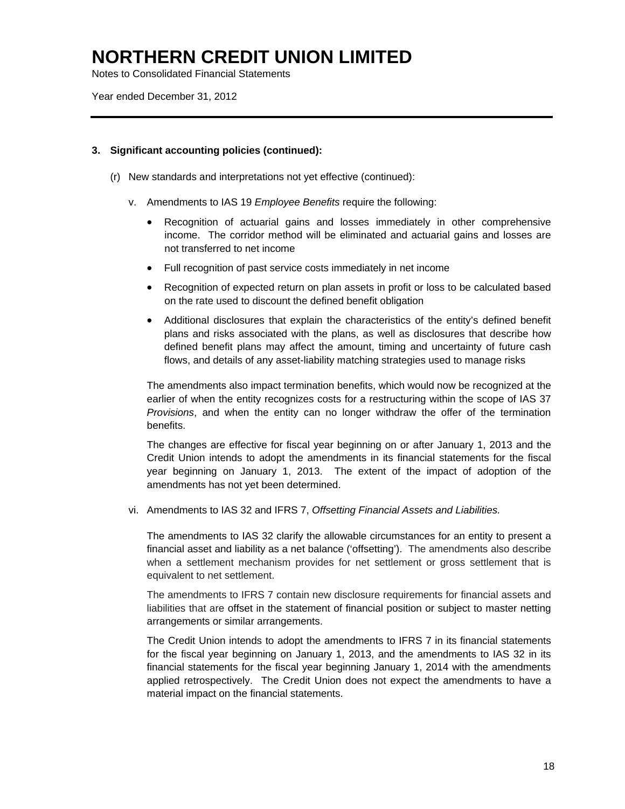Notes to Consolidated Financial Statements

Year ended December 31, 2012

### **3. Significant accounting policies (continued):**

- (r) New standards and interpretations not yet effective (continued):
	- v. Amendments to IAS 19 *Employee Benefits* require the following:
		- Recognition of actuarial gains and losses immediately in other comprehensive income. The corridor method will be eliminated and actuarial gains and losses are not transferred to net income
		- Full recognition of past service costs immediately in net income
		- Recognition of expected return on plan assets in profit or loss to be calculated based on the rate used to discount the defined benefit obligation
		- Additional disclosures that explain the characteristics of the entity's defined benefit plans and risks associated with the plans, as well as disclosures that describe how defined benefit plans may affect the amount, timing and uncertainty of future cash flows, and details of any asset-liability matching strategies used to manage risks

The amendments also impact termination benefits, which would now be recognized at the earlier of when the entity recognizes costs for a restructuring within the scope of IAS 37 *Provisions*, and when the entity can no longer withdraw the offer of the termination benefits.

The changes are effective for fiscal year beginning on or after January 1, 2013 and the Credit Union intends to adopt the amendments in its financial statements for the fiscal year beginning on January 1, 2013. The extent of the impact of adoption of the amendments has not yet been determined.

vi. Amendments to IAS 32 and IFRS 7, *Offsetting Financial Assets and Liabilities.* 

The amendments to IAS 32 clarify the allowable circumstances for an entity to present a financial asset and liability as a net balance ('offsetting'). The amendments also describe when a settlement mechanism provides for net settlement or gross settlement that is equivalent to net settlement.

The amendments to IFRS 7 contain new disclosure requirements for financial assets and liabilities that are offset in the statement of financial position or subject to master netting arrangements or similar arrangements.

The Credit Union intends to adopt the amendments to IFRS 7 in its financial statements for the fiscal year beginning on January 1, 2013, and the amendments to IAS 32 in its financial statements for the fiscal year beginning January 1, 2014 with the amendments applied retrospectively. The Credit Union does not expect the amendments to have a material impact on the financial statements.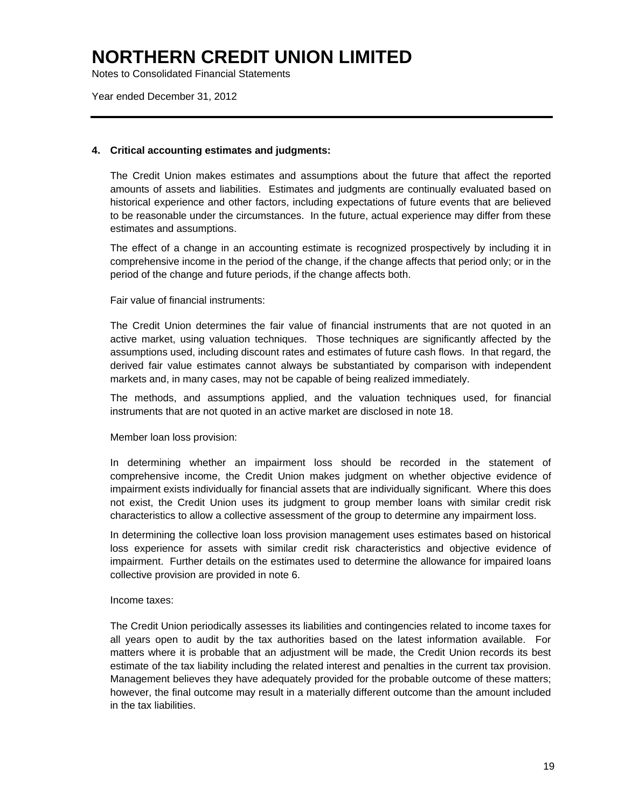Notes to Consolidated Financial Statements

Year ended December 31, 2012

#### **4. Critical accounting estimates and judgments:**

The Credit Union makes estimates and assumptions about the future that affect the reported amounts of assets and liabilities. Estimates and judgments are continually evaluated based on historical experience and other factors, including expectations of future events that are believed to be reasonable under the circumstances. In the future, actual experience may differ from these estimates and assumptions.

The effect of a change in an accounting estimate is recognized prospectively by including it in comprehensive income in the period of the change, if the change affects that period only; or in the period of the change and future periods, if the change affects both.

### Fair value of financial instruments:

The Credit Union determines the fair value of financial instruments that are not quoted in an active market, using valuation techniques. Those techniques are significantly affected by the assumptions used, including discount rates and estimates of future cash flows. In that regard, the derived fair value estimates cannot always be substantiated by comparison with independent markets and, in many cases, may not be capable of being realized immediately.

The methods, and assumptions applied, and the valuation techniques used, for financial instruments that are not quoted in an active market are disclosed in note 18.

#### Member loan loss provision:

In determining whether an impairment loss should be recorded in the statement of comprehensive income, the Credit Union makes judgment on whether objective evidence of impairment exists individually for financial assets that are individually significant. Where this does not exist, the Credit Union uses its judgment to group member loans with similar credit risk characteristics to allow a collective assessment of the group to determine any impairment loss.

In determining the collective loan loss provision management uses estimates based on historical loss experience for assets with similar credit risk characteristics and objective evidence of impairment. Further details on the estimates used to determine the allowance for impaired loans collective provision are provided in note 6.

#### Income taxes:

The Credit Union periodically assesses its liabilities and contingencies related to income taxes for all years open to audit by the tax authorities based on the latest information available. For matters where it is probable that an adjustment will be made, the Credit Union records its best estimate of the tax liability including the related interest and penalties in the current tax provision. Management believes they have adequately provided for the probable outcome of these matters; however, the final outcome may result in a materially different outcome than the amount included in the tax liabilities.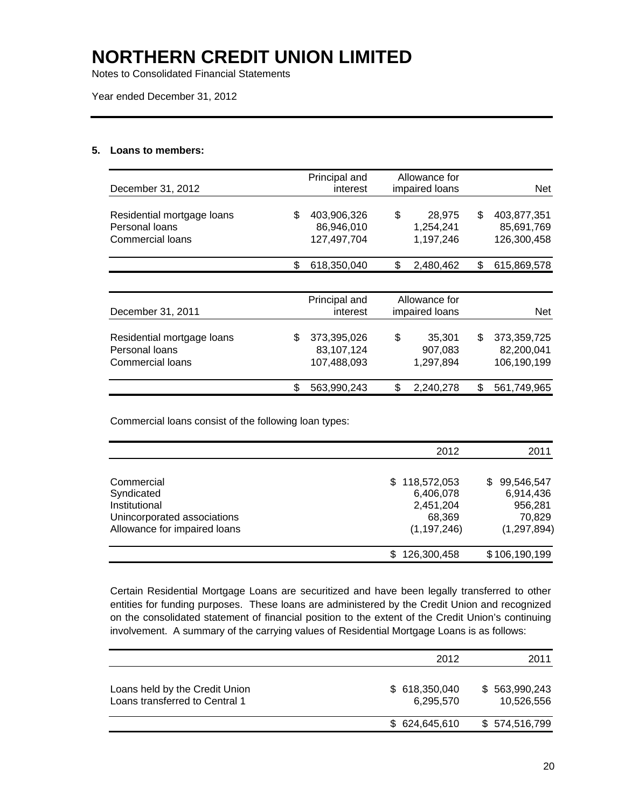Notes to Consolidated Financial Statements

Year ended December 31, 2012

#### **5. Loans to members:**

| December 31, 2012                                                |    | Principal and<br>interest                | Allowance for<br>impaired loans |                                  | Net                                            |
|------------------------------------------------------------------|----|------------------------------------------|---------------------------------|----------------------------------|------------------------------------------------|
| Residential mortgage loans<br>Personal loans<br>Commercial loans |    | 403,906,326<br>86,946,010<br>127,497,704 | \$                              | 28,975<br>1,254,241<br>1,197,246 | \$<br>403,877,351<br>85,691,769<br>126,300,458 |
|                                                                  | S. | 618,350,040                              | \$                              | 2,480,462                        | \$<br>615,869,578                              |
| December 31, 2011                                                |    | Principal and<br>interest                | Allowance for<br>impaired loans |                                  | <b>Net</b>                                     |
| Residential mortgage loans<br>Personal loans<br>Commercial loans | \$ | 373,395,026<br>83,107,124<br>107,488,093 | \$                              | 35,301<br>907,083<br>1,297,894   | \$<br>373,359,725<br>82,200,041<br>106,190,199 |
|                                                                  |    | 563,990,243                              | \$                              | 2,240,278                        | \$<br>561,749,965                              |

Commercial loans consist of the following loan types:

|                              | 2012               | 2011             |
|------------------------------|--------------------|------------------|
|                              |                    |                  |
| Commercial                   | 118,572,053<br>\$. | 99,546,547<br>S. |
| Syndicated                   | 6,406,078          | 6,914,436        |
| Institutional                | 2,451,204          | 956,281          |
| Unincorporated associations  | 68,369             | 70,829           |
| Allowance for impaired loans | (1, 197, 246)      | (1, 297, 894)    |
|                              | 126,300,458        | \$106,190,199    |

Certain Residential Mortgage Loans are securitized and have been legally transferred to other entities for funding purposes. These loans are administered by the Credit Union and recognized on the consolidated statement of financial position to the extent of the Credit Union's continuing involvement. A summary of the carrying values of Residential Mortgage Loans is as follows:

|                                                                  | 2012 |                            |  |                             |
|------------------------------------------------------------------|------|----------------------------|--|-----------------------------|
| Loans held by the Credit Union<br>Loans transferred to Central 1 |      | \$618,350,040<br>6.295.570 |  | \$563,990,243<br>10,526,556 |
|                                                                  |      | \$624,645,610              |  | \$574,516,799               |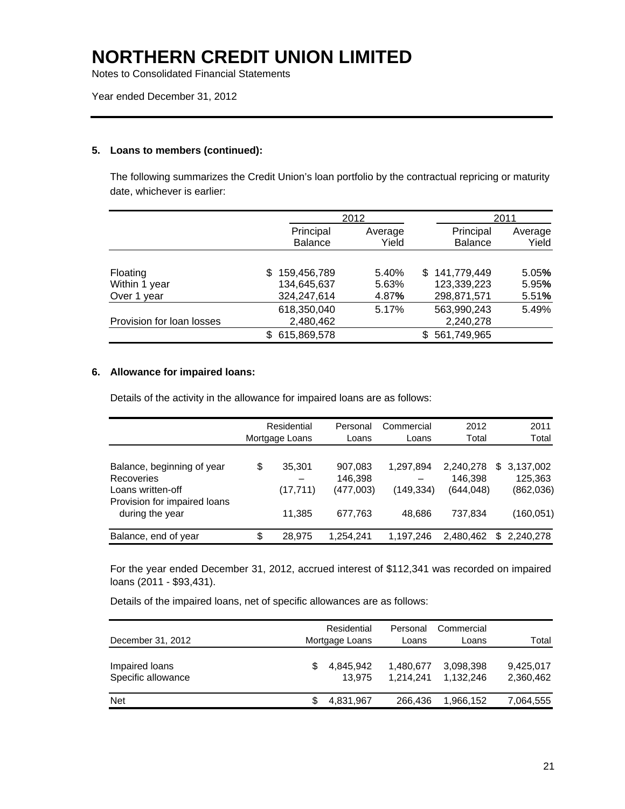Notes to Consolidated Financial Statements

Year ended December 31, 2012

### **5. Loans to members (continued):**

The following summarizes the Credit Union's loan portfolio by the contractual repricing or maturity date, whichever is earlier:

|                           |                    | 2012    |  |                | 2011    |
|---------------------------|--------------------|---------|--|----------------|---------|
|                           | Principal          | Average |  | Principal      | Average |
|                           | <b>Balance</b>     | Yield   |  | <b>Balance</b> | Yield   |
|                           |                    |         |  |                |         |
| Floating                  | 159,456,789<br>\$. | 5.40%   |  | \$141,779,449  | 5.05%   |
| Within 1 year             | 134,645,637        | 5.63%   |  | 123,339,223    | 5.95%   |
| Over 1 year               | 324,247,614        | 4.87%   |  | 298,871,571    | 5.51%   |
|                           | 618,350,040        | 5.17%   |  | 563,990,243    | 5.49%   |
| Provision for loan losses | 2,480,462          |         |  | 2,240,278      |         |
|                           | 615,869,578        |         |  | 561,749,965    |         |

#### **6. Allowance for impaired loans:**

Details of the activity in the allowance for impaired loans are as follows:

|                                                                                                                         | Residential<br>Mortgage Loans       | Personal<br>Loans                          | Commercial<br>Loans              | 2012<br>Total                                 | 2011<br>Total                                          |
|-------------------------------------------------------------------------------------------------------------------------|-------------------------------------|--------------------------------------------|----------------------------------|-----------------------------------------------|--------------------------------------------------------|
| Balance, beginning of year<br><b>Recoveries</b><br>Loans written-off<br>Provision for impaired loans<br>during the year | \$<br>35,301<br>(17, 711)<br>11.385 | 907,083<br>146,398<br>(477,003)<br>677.763 | 1,297,894<br>(149,334)<br>48.686 | 2,240,278<br>146.398<br>(644, 048)<br>737,834 | 3,137,002<br>\$.<br>125,363<br>(862,036)<br>(160, 051) |
| Balance, end of year                                                                                                    | \$<br>28.975                        | 1,254,241                                  | 1,197,246                        | 2,480,462                                     | \$<br>2,240,278                                        |

For the year ended December 31, 2012, accrued interest of \$112,341 was recorded on impaired loans (2011 - \$93,431).

Details of the impaired loans, net of specific allowances are as follows:

| December 31, 2012                    | Residential<br>Mortgage Loans |                     | Personal<br>Loans      | Commercial<br>Loans    | Total                  |
|--------------------------------------|-------------------------------|---------------------|------------------------|------------------------|------------------------|
| Impaired loans<br>Specific allowance |                               | 4.845.942<br>13.975 | 1,480,677<br>1.214.241 | 3.098.398<br>1.132.246 | 9,425,017<br>2,360,462 |
| <b>Net</b>                           |                               | 4,831,967           | 266,436                | 1,966,152              | 7,064,555              |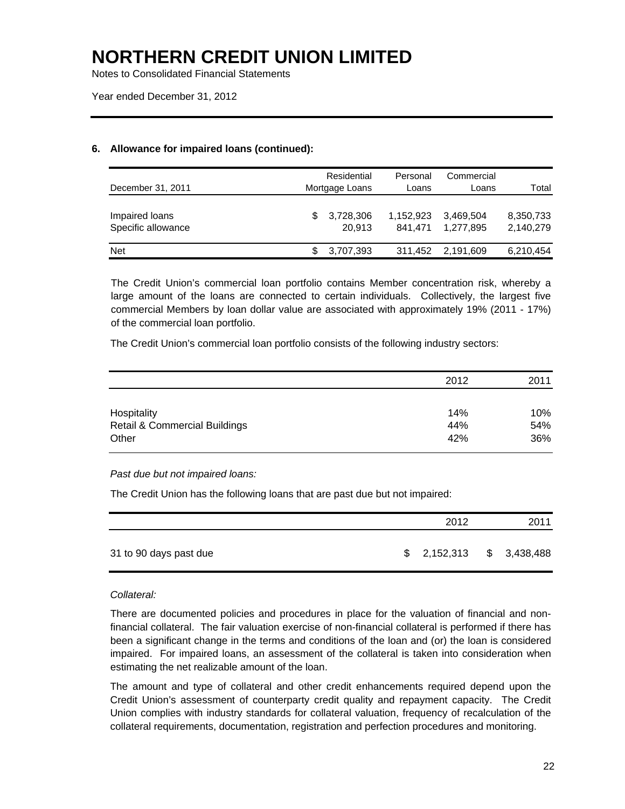Notes to Consolidated Financial Statements

Year ended December 31, 2012

### **6. Allowance for impaired loans (continued):**

| December 31, 2011                    | Residential<br>Mortgage Loans |                     | Personal<br>Loans    | Commercial<br>Loans    | Total                  |
|--------------------------------------|-------------------------------|---------------------|----------------------|------------------------|------------------------|
| Impaired loans<br>Specific allowance |                               | 3,728,306<br>20.913 | 1,152,923<br>841.471 | 3,469,504<br>1.277.895 | 8,350,733<br>2,140,279 |
| <b>Net</b>                           |                               | 3,707,393           | 311,452              | 2.191.609              | 6,210,454              |

 The Credit Union's commercial loan portfolio contains Member concentration risk, whereby a large amount of the loans are connected to certain individuals. Collectively, the largest five commercial Members by loan dollar value are associated with approximately 19% (2011 - 17%) of the commercial loan portfolio.

The Credit Union's commercial loan portfolio consists of the following industry sectors:

|                                                         | 2012       | 2011              |
|---------------------------------------------------------|------------|-------------------|
| Hospitality<br><b>Retail &amp; Commercial Buildings</b> | 14%<br>44% | 10%<br>54%<br>36% |
| Other                                                   | 42%        |                   |

#### *Past due but not impaired loans:*

The Credit Union has the following loans that are past due but not impaired:

|                        | 2012        | 2011        |
|------------------------|-------------|-------------|
| 31 to 90 days past due | \$2,152,313 | \$3,438,488 |

#### *Collateral:*

There are documented policies and procedures in place for the valuation of financial and nonfinancial collateral. The fair valuation exercise of non-financial collateral is performed if there has been a significant change in the terms and conditions of the loan and (or) the loan is considered impaired. For impaired loans, an assessment of the collateral is taken into consideration when estimating the net realizable amount of the loan.

The amount and type of collateral and other credit enhancements required depend upon the Credit Union's assessment of counterparty credit quality and repayment capacity. The Credit Union complies with industry standards for collateral valuation, frequency of recalculation of the collateral requirements, documentation, registration and perfection procedures and monitoring.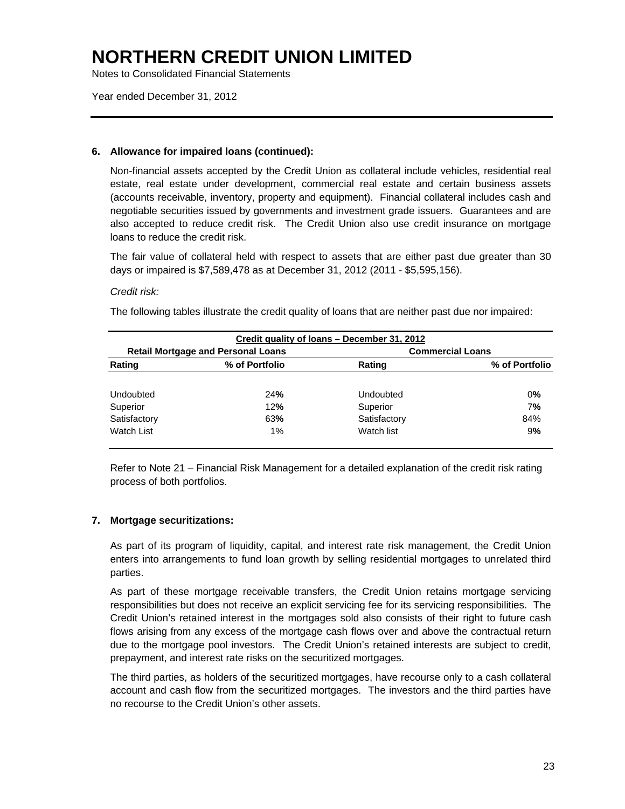Notes to Consolidated Financial Statements

Year ended December 31, 2012

#### **6. Allowance for impaired loans (continued):**

Non-financial assets accepted by the Credit Union as collateral include vehicles, residential real estate, real estate under development, commercial real estate and certain business assets (accounts receivable, inventory, property and equipment). Financial collateral includes cash and negotiable securities issued by governments and investment grade issuers. Guarantees and are also accepted to reduce credit risk. The Credit Union also use credit insurance on mortgage loans to reduce the credit risk.

The fair value of collateral held with respect to assets that are either past due greater than 30 days or impaired is \$7,589,478 as at December 31, 2012 (2011 - \$5,595,156).

### *Credit risk:*

The following tables illustrate the credit quality of loans that are neither past due nor impaired:

|              |                                           | Credit quality of loans - December 31, 2012 |                         |
|--------------|-------------------------------------------|---------------------------------------------|-------------------------|
|              | <b>Retail Mortgage and Personal Loans</b> |                                             | <b>Commercial Loans</b> |
| Rating       | % of Portfolio                            | Rating                                      | % of Portfolio          |
|              |                                           |                                             |                         |
| Undoubted    | 24%                                       | Undoubted                                   | 0%                      |
| Superior     | 12%                                       | Superior                                    | 7%                      |
| Satisfactory | 63%                                       | Satisfactory                                | 84%                     |
| Watch List   | $1\%$                                     | Watch list                                  | 9%                      |
|              |                                           |                                             |                         |

Refer to Note 21 – Financial Risk Management for a detailed explanation of the credit risk rating process of both portfolios.

### **7. Mortgage securitizations:**

 As part of its program of liquidity, capital, and interest rate risk management, the Credit Union enters into arrangements to fund loan growth by selling residential mortgages to unrelated third parties.

 As part of these mortgage receivable transfers, the Credit Union retains mortgage servicing responsibilities but does not receive an explicit servicing fee for its servicing responsibilities. The Credit Union's retained interest in the mortgages sold also consists of their right to future cash flows arising from any excess of the mortgage cash flows over and above the contractual return due to the mortgage pool investors. The Credit Union's retained interests are subject to credit, prepayment, and interest rate risks on the securitized mortgages.

 The third parties, as holders of the securitized mortgages, have recourse only to a cash collateral account and cash flow from the securitized mortgages. The investors and the third parties have no recourse to the Credit Union's other assets.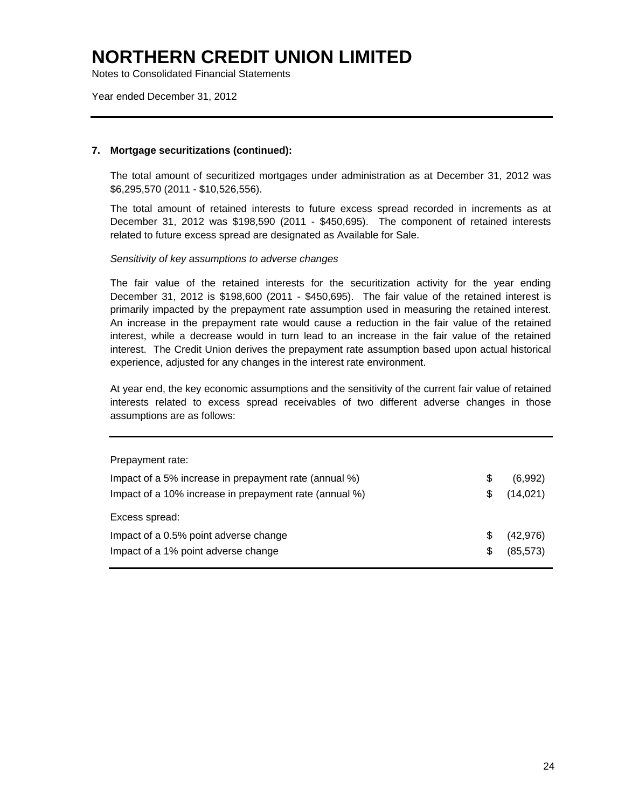Notes to Consolidated Financial Statements

Year ended December 31, 2012

#### **7. Mortgage securitizations (continued):**

The total amount of securitized mortgages under administration as at December 31, 2012 was \$6,295,570 (2011 - \$10,526,556).

The total amount of retained interests to future excess spread recorded in increments as at December 31, 2012 was \$198,590 (2011 - \$450,695). The component of retained interests related to future excess spread are designated as Available for Sale.

*Sensitivity of key assumptions to adverse changes* 

The fair value of the retained interests for the securitization activity for the year ending December 31, 2012 is \$198,600 (2011 - \$450,695). The fair value of the retained interest is primarily impacted by the prepayment rate assumption used in measuring the retained interest. An increase in the prepayment rate would cause a reduction in the fair value of the retained interest, while a decrease would in turn lead to an increase in the fair value of the retained interest. The Credit Union derives the prepayment rate assumption based upon actual historical experience, adjusted for any changes in the interest rate environment.

At year end, the key economic assumptions and the sensitivity of the current fair value of retained interests related to excess spread receivables of two different adverse changes in those assumptions are as follows:

| Prepayment rate:                                        |     |           |
|---------------------------------------------------------|-----|-----------|
| Impact of a 5% increase in prepayment rate (annual %)   | \$  | (6,992)   |
| Impact of a 10% increase in prepayment rate (annual %)  | S   | (14, 021) |
| Excess spread:<br>Impact of a 0.5% point adverse change | \$. | (42, 976) |
|                                                         |     |           |
| Impact of a 1% point adverse change                     | S   | (85, 573) |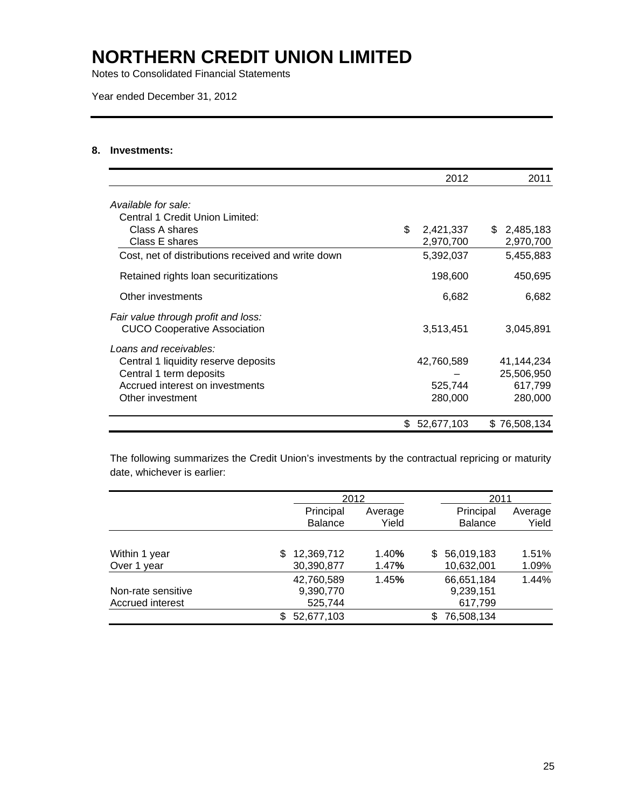Notes to Consolidated Financial Statements

Year ended December 31, 2012

#### **8. Investments:**

|                                                                            | 2012            | 2011            |
|----------------------------------------------------------------------------|-----------------|-----------------|
| Available for sale:                                                        |                 |                 |
| Central 1 Credit Union Limited:                                            |                 |                 |
| Class A shares                                                             | \$<br>2,421,337 | 2,485,183<br>S. |
| Class E shares                                                             | 2,970,700       | 2,970,700       |
| Cost, net of distributions received and write down                         | 5,392,037       | 5,455,883       |
| Retained rights loan securitizations                                       | 198,600         | 450,695         |
| Other investments                                                          | 6,682           | 6,682           |
| Fair value through profit and loss:<br><b>CUCO Cooperative Association</b> | 3,513,451       | 3,045,891       |
| Loans and receivables:                                                     |                 |                 |
| Central 1 liquidity reserve deposits                                       | 42,760,589      | 41,144,234      |
| Central 1 term deposits                                                    |                 | 25,506,950      |
| Accrued interest on investments                                            | 525,744         | 617,799         |
| Other investment                                                           | 280,000         | 280,000         |
|                                                                            | \$52,677,103    | \$76,508,134    |

The following summarizes the Credit Union's investments by the contractual repricing or maturity date, whichever is earlier:

|                    |                   | 2012    |                   | 2011    |
|--------------------|-------------------|---------|-------------------|---------|
|                    | Principal         | Average | Principal         | Average |
|                    | <b>Balance</b>    | Yield   | <b>Balance</b>    | Yield   |
|                    |                   |         |                   |         |
| Within 1 year      | 12,369,712<br>S   | 1.40%   | 56,019,183<br>\$. | 1.51%   |
| Over 1 year        | 30,390,877        | 1.47%   | 10,632,001        | 1.09%   |
|                    | 42,760,589        | 1.45%   | 66,651,184        | 1.44%   |
| Non-rate sensitive | 9,390,770         |         | 9,239,151         |         |
| Accrued interest   | 525,744           |         | 617,799           |         |
|                    | 52,677,103<br>\$. |         | 76,508,134        |         |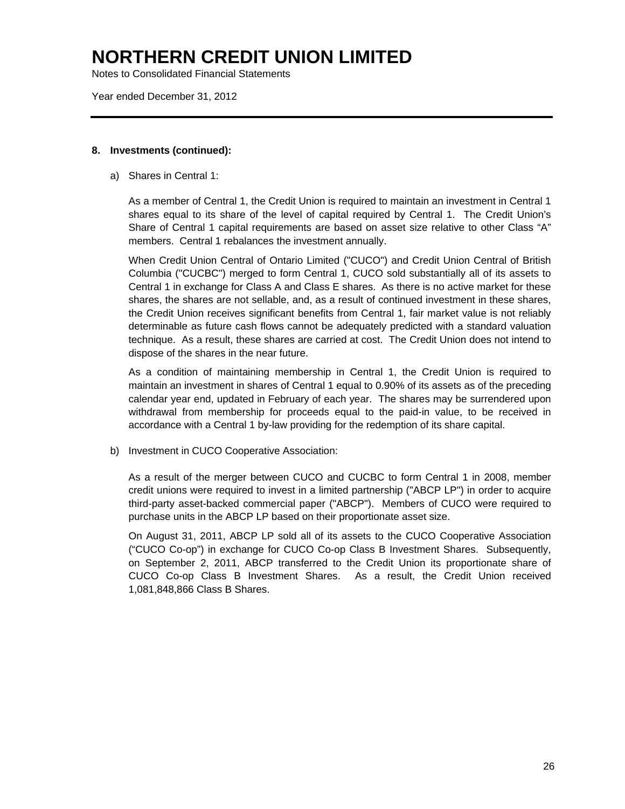Notes to Consolidated Financial Statements

Year ended December 31, 2012

#### **8. Investments (continued):**

a) Shares in Central 1:

As a member of Central 1, the Credit Union is required to maintain an investment in Central 1 shares equal to its share of the level of capital required by Central 1. The Credit Union's Share of Central 1 capital requirements are based on asset size relative to other Class "A" members. Central 1 rebalances the investment annually.

When Credit Union Central of Ontario Limited ("CUCO") and Credit Union Central of British Columbia ("CUCBC") merged to form Central 1, CUCO sold substantially all of its assets to Central 1 in exchange for Class A and Class E shares. As there is no active market for these shares, the shares are not sellable, and, as a result of continued investment in these shares, the Credit Union receives significant benefits from Central 1, fair market value is not reliably determinable as future cash flows cannot be adequately predicted with a standard valuation technique. As a result, these shares are carried at cost. The Credit Union does not intend to dispose of the shares in the near future.

As a condition of maintaining membership in Central 1, the Credit Union is required to maintain an investment in shares of Central 1 equal to 0.90% of its assets as of the preceding calendar year end, updated in February of each year. The shares may be surrendered upon withdrawal from membership for proceeds equal to the paid-in value, to be received in accordance with a Central 1 by-law providing for the redemption of its share capital.

b) Investment in CUCO Cooperative Association:

 As a result of the merger between CUCO and CUCBC to form Central 1 in 2008, member credit unions were required to invest in a limited partnership ("ABCP LP") in order to acquire third-party asset-backed commercial paper ("ABCP"). Members of CUCO were required to purchase units in the ABCP LP based on their proportionate asset size.

On August 31, 2011, ABCP LP sold all of its assets to the CUCO Cooperative Association ("CUCO Co-op") in exchange for CUCO Co-op Class B Investment Shares. Subsequently, on September 2, 2011, ABCP transferred to the Credit Union its proportionate share of CUCO Co-op Class B Investment Shares. As a result, the Credit Union received 1,081,848,866 Class B Shares.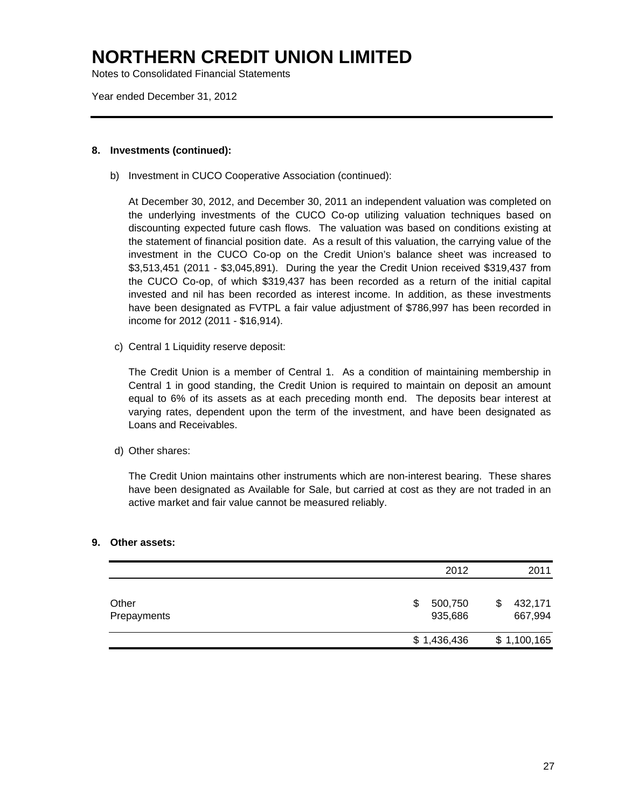Notes to Consolidated Financial Statements

Year ended December 31, 2012

#### **8. Investments (continued):**

b) Investment in CUCO Cooperative Association (continued):

At December 30, 2012, and December 30, 2011 an independent valuation was completed on the underlying investments of the CUCO Co-op utilizing valuation techniques based on discounting expected future cash flows. The valuation was based on conditions existing at the statement of financial position date. As a result of this valuation, the carrying value of the investment in the CUCO Co-op on the Credit Union's balance sheet was increased to \$3,513,451 (2011 - \$3,045,891). During the year the Credit Union received \$319,437 from the CUCO Co-op, of which \$319,437 has been recorded as a return of the initial capital invested and nil has been recorded as interest income. In addition, as these investments have been designated as FVTPL a fair value adjustment of \$786,997 has been recorded in income for 2012 (2011 - \$16,914).

c) Central 1 Liquidity reserve deposit:

The Credit Union is a member of Central 1. As a condition of maintaining membership in Central 1 in good standing, the Credit Union is required to maintain on deposit an amount equal to 6% of its assets as at each preceding month end. The deposits bear interest at varying rates, dependent upon the term of the investment, and have been designated as Loans and Receivables.

d) Other shares:

The Credit Union maintains other instruments which are non-interest bearing. These shares have been designated as Available for Sale, but carried at cost as they are not traded in an active market and fair value cannot be measured reliably.

#### **9. Other assets:**

|                      | 2012                     | 2011                    |
|----------------------|--------------------------|-------------------------|
| Other<br>Prepayments | 500,750<br>\$<br>935,686 | 432,171<br>S<br>667,994 |
|                      | \$1,436,436              | \$1,100,165             |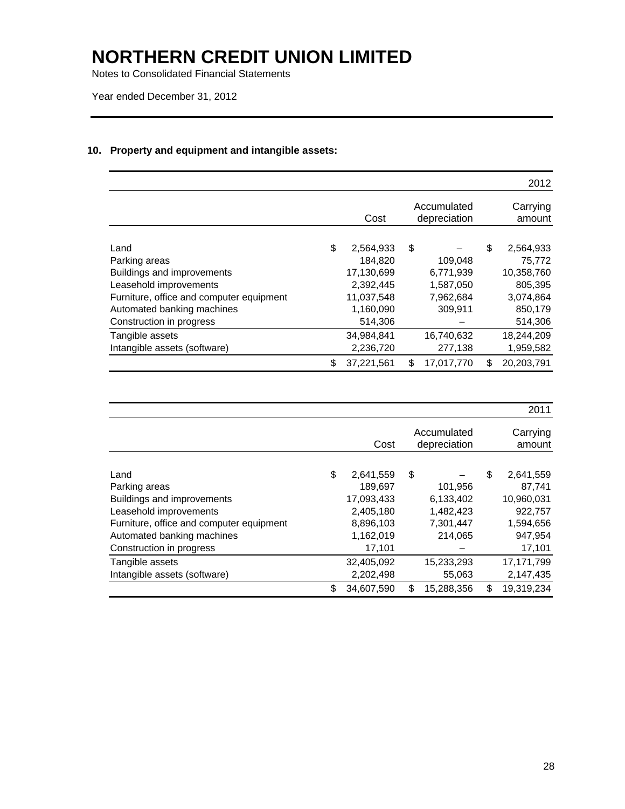Notes to Consolidated Financial Statements

Year ended December 31, 2012

### **10. Property and equipment and intangible assets:**

|                                          |                  |                             | 2012               |
|------------------------------------------|------------------|-----------------------------|--------------------|
|                                          | Cost             | Accumulated<br>depreciation | Carrying<br>amount |
|                                          |                  |                             |                    |
| Land                                     | \$<br>2,564,933  | \$                          | \$<br>2,564,933    |
| Parking areas                            | 184,820          | 109,048                     | 75,772             |
| Buildings and improvements               | 17,130,699       | 6,771,939                   | 10,358,760         |
| Leasehold improvements                   | 2.392.445        | 1,587,050                   | 805,395            |
| Furniture, office and computer equipment | 11,037,548       | 7,962,684                   | 3,074,864          |
| Automated banking machines               | 1,160,090        | 309,911                     | 850,179            |
| Construction in progress                 | 514,306          |                             | 514,306            |
| Tangible assets                          | 34,984,841       | 16,740,632                  | 18,244,209         |
| Intangible assets (software)             | 2,236,720        | 277,138                     | 1,959,582          |
|                                          | \$<br>37,221,561 | \$<br>17,017,770            | \$<br>20,203,791   |

|                                          |                  |                             | 2011               |
|------------------------------------------|------------------|-----------------------------|--------------------|
|                                          | Cost             | Accumulated<br>depreciation | Carrying<br>amount |
| Land                                     | \$<br>2,641,559  | \$                          | \$<br>2,641,559    |
| Parking areas                            | 189,697          | 101,956                     | 87,741             |
| Buildings and improvements               | 17,093,433       | 6,133,402                   | 10,960,031         |
| Leasehold improvements                   | 2,405,180        | 1,482,423                   | 922,757            |
| Furniture, office and computer equipment | 8,896,103        | 7,301,447                   | 1,594,656          |
| Automated banking machines               | 1,162,019        | 214,065                     | 947,954            |
| Construction in progress                 | 17,101           |                             | 17,101             |
| Tangible assets                          | 32,405,092       | 15,233,293                  | 17, 171, 799       |
| Intangible assets (software)             | 2,202,498        | 55,063                      | 2,147,435          |
|                                          | \$<br>34.607.590 | \$<br>15,288,356            | \$<br>19,319,234   |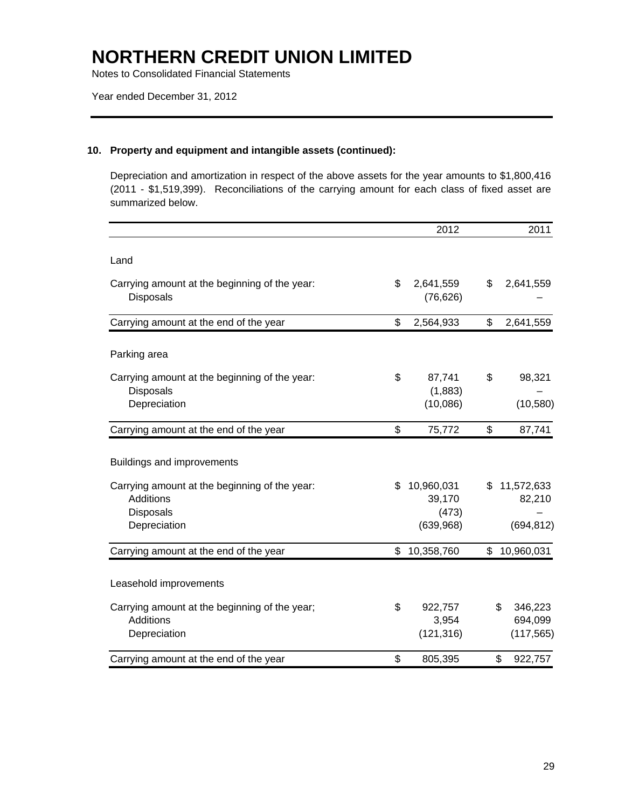Notes to Consolidated Financial Statements

### **10. Property and equipment and intangible assets (continued):**

Depreciation and amortization in respect of the above assets for the year amounts to \$1,800,416 (2011 - \$1,519,399). Reconciliations of the carrying amount for each class of fixed asset are summarized below.

|                                                                                         | 2012                                             | 2011                                     |
|-----------------------------------------------------------------------------------------|--------------------------------------------------|------------------------------------------|
| Land                                                                                    |                                                  |                                          |
| Carrying amount at the beginning of the year:<br><b>Disposals</b>                       | \$<br>2,641,559<br>(76, 626)                     | \$<br>2,641,559                          |
| Carrying amount at the end of the year                                                  | \$<br>2,564,933                                  | \$<br>2,641,559                          |
| Parking area                                                                            |                                                  |                                          |
| Carrying amount at the beginning of the year:<br><b>Disposals</b><br>Depreciation       | \$<br>87,741<br>(1,883)<br>(10,086)              | \$<br>98,321<br>(10, 580)                |
| Carrying amount at the end of the year                                                  | \$<br>75,772                                     | \$<br>87,741                             |
| Buildings and improvements                                                              |                                                  |                                          |
| Carrying amount at the beginning of the year:<br>Additions<br>Disposals<br>Depreciation | \$<br>10,960,031<br>39,170<br>(473)<br>(639,968) | \$<br>11,572,633<br>82,210<br>(694, 812) |
| Carrying amount at the end of the year                                                  | \$<br>10,358,760                                 | \$<br>10,960,031                         |
| Leasehold improvements                                                                  |                                                  |                                          |
| Carrying amount at the beginning of the year;<br>Additions<br>Depreciation              | \$<br>922,757<br>3,954<br>(121, 316)             | \$<br>346,223<br>694,099<br>(117, 565)   |
| Carrying amount at the end of the year                                                  | \$<br>805,395                                    | \$<br>922,757                            |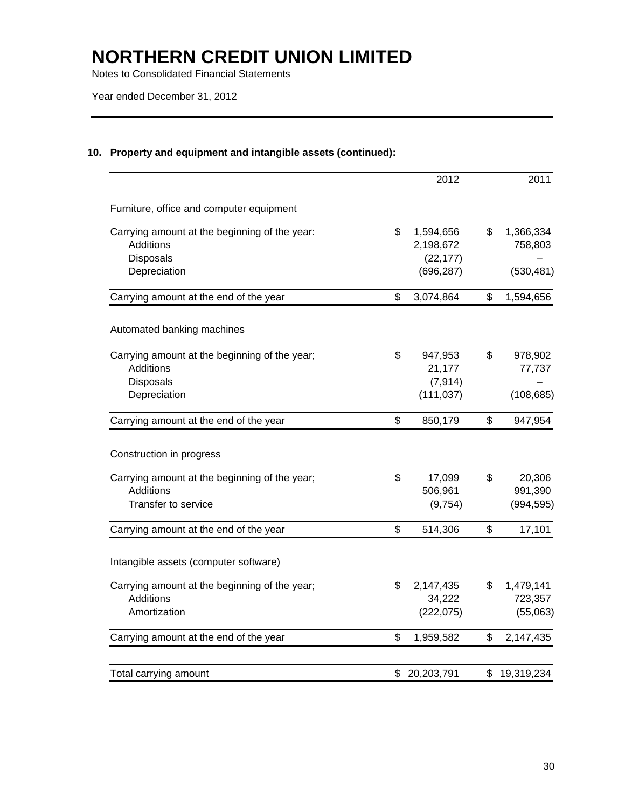Notes to Consolidated Financial Statements

Year ended December 31, 2012

### **10. Property and equipment and intangible assets (continued):**

|                                                                   | 2012                         | 2011                       |
|-------------------------------------------------------------------|------------------------------|----------------------------|
| Furniture, office and computer equipment                          |                              |                            |
| Carrying amount at the beginning of the year:<br>Additions        | \$<br>1,594,656<br>2,198,672 | \$<br>1,366,334<br>758,803 |
| <b>Disposals</b><br>Depreciation                                  | (22, 177)<br>(696, 287)      | (530, 481)                 |
| Carrying amount at the end of the year                            | \$<br>3,074,864              | \$<br>1,594,656            |
| Automated banking machines                                        |                              |                            |
| Carrying amount at the beginning of the year;<br><b>Additions</b> | \$<br>947,953<br>21,177      | \$<br>978,902<br>77,737    |
| <b>Disposals</b>                                                  | (7, 914)                     |                            |
| Depreciation                                                      | (111, 037)                   | (108, 685)                 |
| Carrying amount at the end of the year                            | \$<br>850,179                | \$<br>947,954              |
| Construction in progress                                          |                              |                            |
| Carrying amount at the beginning of the year;<br><b>Additions</b> | \$<br>17,099<br>506,961      | \$<br>20,306<br>991,390    |
| Transfer to service                                               | (9,754)                      | (994, 595)                 |
| Carrying amount at the end of the year                            | \$<br>514,306                | \$<br>17,101               |
| Intangible assets (computer software)                             |                              |                            |
| Carrying amount at the beginning of the year;                     | \$<br>2,147,435              | \$<br>1,479,141            |
| Additions                                                         | 34,222                       | 723,357                    |
| Amortization                                                      | (222, 075)                   | (55,063)                   |
| Carrying amount at the end of the year                            | \$<br>1,959,582              | \$<br>2,147,435            |
| Total carrying amount                                             | \$ 20,203,791                | \$19,319,234               |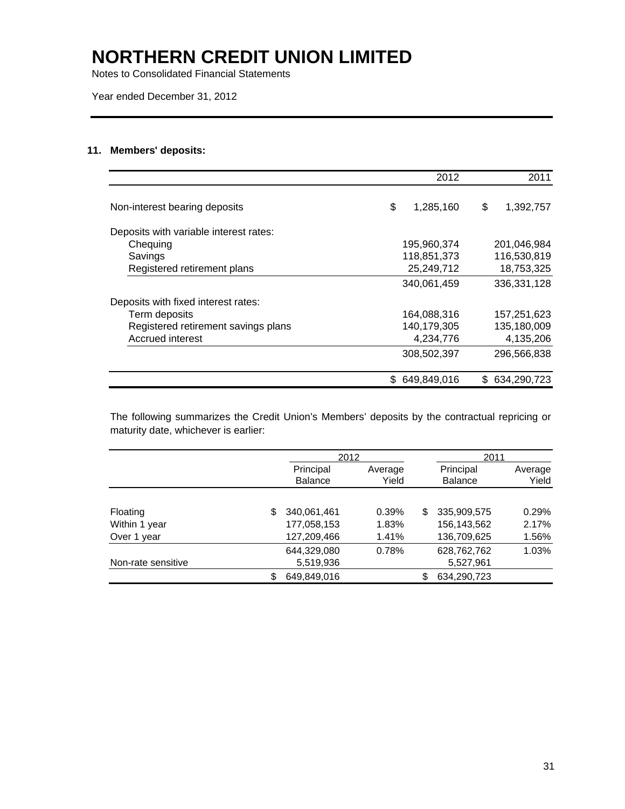Notes to Consolidated Financial Statements

Year ended December 31, 2012

### **11. Members' deposits:**

|                                        | 2012            |     | 2011        |
|----------------------------------------|-----------------|-----|-------------|
| Non-interest bearing deposits          | \$<br>1,285,160 | \$  | 1,392,757   |
| Deposits with variable interest rates: |                 |     |             |
| Chequing                               | 195,960,374     |     | 201,046,984 |
| Savings                                | 118,851,373     |     | 116,530,819 |
| Registered retirement plans            | 25,249,712      |     | 18,753,325  |
|                                        | 340,061,459     |     | 336,331,128 |
| Deposits with fixed interest rates:    |                 |     |             |
| Term deposits                          | 164,088,316     |     | 157,251,623 |
| Registered retirement savings plans    | 140,179,305     |     | 135,180,009 |
| Accrued interest                       | 4,234,776       |     | 4,135,206   |
|                                        | 308,502,397     |     | 296,566,838 |
|                                        | 649,849,016     | \$. | 634,290,723 |

The following summarizes the Credit Union's Members' deposits by the contractual repricing or maturity date, whichever is earlier:

|                    |   |                | 2012    |     |                |         | 2011 |  |
|--------------------|---|----------------|---------|-----|----------------|---------|------|--|
|                    |   | Principal      | Average |     | Principal      | Average |      |  |
|                    |   | <b>Balance</b> | Yield   |     | <b>Balance</b> | Yield   |      |  |
|                    |   |                |         |     |                |         |      |  |
| Floating           | S | 340,061,461    | 0.39%   | \$. | 335,909,575    | 0.29%   |      |  |
| Within 1 year      |   | 177,058,153    | 1.83%   |     | 156,143,562    | 2.17%   |      |  |
| Over 1 year        |   | 127,209,466    | 1.41%   |     | 136,709,625    | 1.56%   |      |  |
|                    |   | 644.329.080    | 0.78%   |     | 628,762,762    | 1.03%   |      |  |
| Non-rate sensitive |   | 5,519,936      |         |     | 5,527,961      |         |      |  |
|                    | S | 649,849,016    |         |     | 634,290,723    |         |      |  |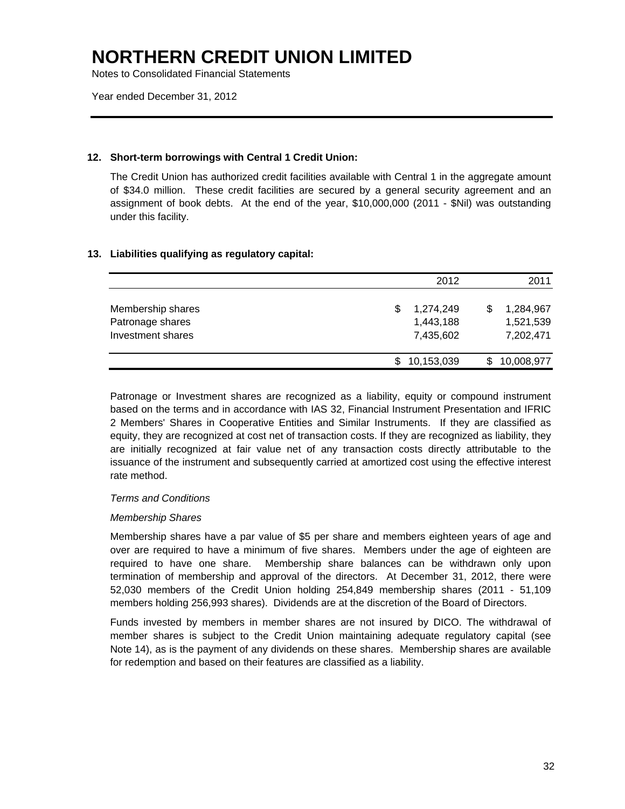Notes to Consolidated Financial Statements

Year ended December 31, 2012

### **12. Short-term borrowings with Central 1 Credit Union:**

The Credit Union has authorized credit facilities available with Central 1 in the aggregate amount of \$34.0 million. These credit facilities are secured by a general security agreement and an assignment of book debts. At the end of the year, \$10,000,000 (2011 - \$Nil) was outstanding under this facility.

### **13. Liabilities qualifying as regulatory capital:**

|                                                            | 2012                                      | 2011                                      |
|------------------------------------------------------------|-------------------------------------------|-------------------------------------------|
| Membership shares<br>Patronage shares<br>Investment shares | 1,274,249<br>S.<br>1,443,188<br>7,435,602 | 1,284,967<br>\$<br>1,521,539<br>7,202,471 |
|                                                            | 10,153,039                                | 10,008,977                                |

Patronage or Investment shares are recognized as a liability, equity or compound instrument based on the terms and in accordance with IAS 32, Financial Instrument Presentation and IFRIC 2 Members' Shares in Cooperative Entities and Similar Instruments. If they are classified as equity, they are recognized at cost net of transaction costs. If they are recognized as liability, they are initially recognized at fair value net of any transaction costs directly attributable to the issuance of the instrument and subsequently carried at amortized cost using the effective interest rate method.

#### *Terms and Conditions*

#### *Membership Shares*

Membership shares have a par value of \$5 per share and members eighteen years of age and over are required to have a minimum of five shares. Members under the age of eighteen are required to have one share. Membership share balances can be withdrawn only upon termination of membership and approval of the directors. At December 31, 2012, there were 52,030 members of the Credit Union holding 254,849 membership shares (2011 - 51,109 members holding 256,993 shares). Dividends are at the discretion of the Board of Directors.

Funds invested by members in member shares are not insured by DICO. The withdrawal of member shares is subject to the Credit Union maintaining adequate regulatory capital (see Note 14), as is the payment of any dividends on these shares. Membership shares are available for redemption and based on their features are classified as a liability.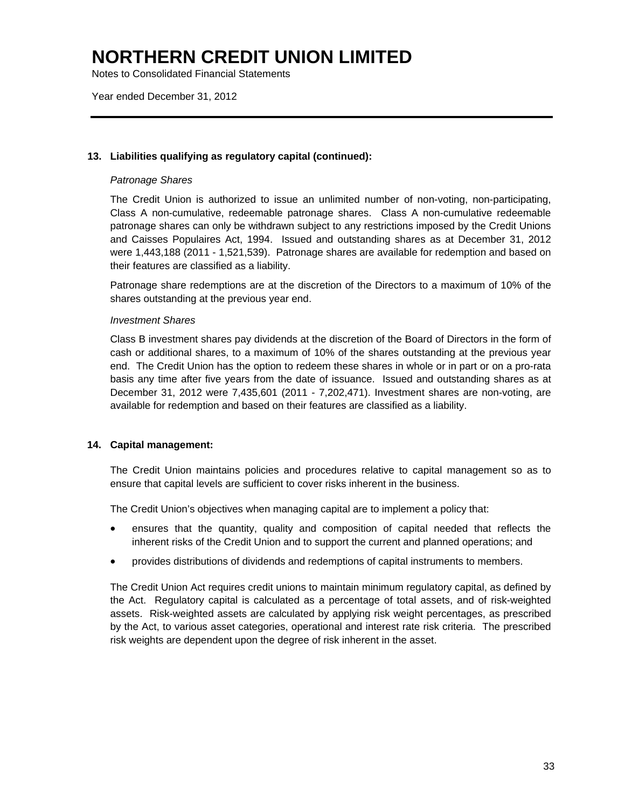Notes to Consolidated Financial Statements

Year ended December 31, 2012

### **13. Liabilities qualifying as regulatory capital (continued):**

### *Patronage Shares*

The Credit Union is authorized to issue an unlimited number of non-voting, non-participating, Class A non-cumulative, redeemable patronage shares. Class A non-cumulative redeemable patronage shares can only be withdrawn subject to any restrictions imposed by the Credit Unions and Caisses Populaires Act, 1994. Issued and outstanding shares as at December 31, 2012 were 1,443,188 (2011 - 1,521,539). Patronage shares are available for redemption and based on their features are classified as a liability.

Patronage share redemptions are at the discretion of the Directors to a maximum of 10% of the shares outstanding at the previous year end.

#### *Investment Shares*

Class B investment shares pay dividends at the discretion of the Board of Directors in the form of cash or additional shares, to a maximum of 10% of the shares outstanding at the previous year end. The Credit Union has the option to redeem these shares in whole or in part or on a pro-rata basis any time after five years from the date of issuance. Issued and outstanding shares as at December 31, 2012 were 7,435,601 (2011 - 7,202,471). Investment shares are non-voting, are available for redemption and based on their features are classified as a liability.

### **14. Capital management:**

The Credit Union maintains policies and procedures relative to capital management so as to ensure that capital levels are sufficient to cover risks inherent in the business.

The Credit Union's objectives when managing capital are to implement a policy that:

- ensures that the quantity, quality and composition of capital needed that reflects the inherent risks of the Credit Union and to support the current and planned operations; and
- provides distributions of dividends and redemptions of capital instruments to members.

The Credit Union Act requires credit unions to maintain minimum regulatory capital, as defined by the Act. Regulatory capital is calculated as a percentage of total assets, and of risk-weighted assets. Risk-weighted assets are calculated by applying risk weight percentages, as prescribed by the Act, to various asset categories, operational and interest rate risk criteria. The prescribed risk weights are dependent upon the degree of risk inherent in the asset.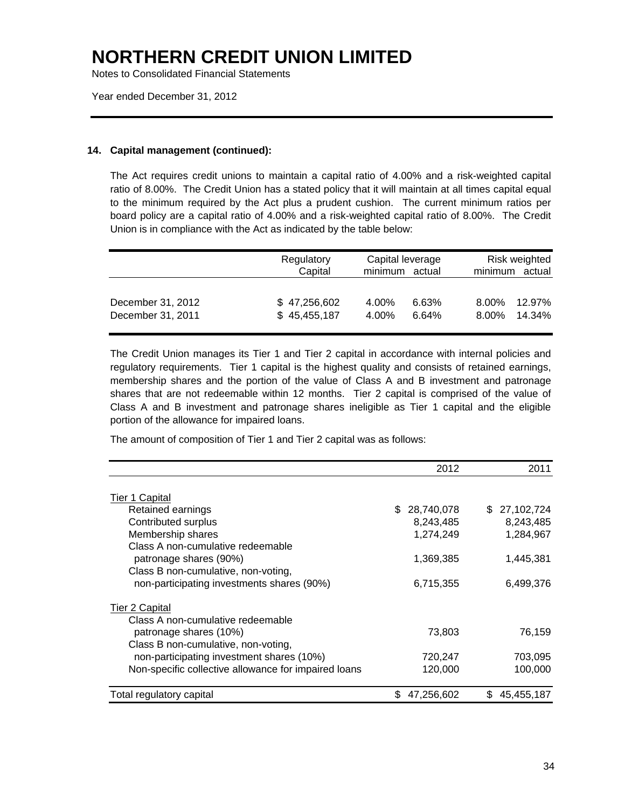Notes to Consolidated Financial Statements

Year ended December 31, 2012

#### **14. Capital management (continued):**

The Act requires credit unions to maintain a capital ratio of 4.00% and a risk-weighted capital ratio of 8.00%. The Credit Union has a stated policy that it will maintain at all times capital equal to the minimum required by the Act plus a prudent cushion. The current minimum ratios per board policy are a capital ratio of 4.00% and a risk-weighted capital ratio of 8.00%. The Credit Union is in compliance with the Act as indicated by the table below:

|                                        | Regulatory<br>Capital        | Capital leverage<br>minimum<br>actual | Risk weighted<br>minimum actual    |
|----------------------------------------|------------------------------|---------------------------------------|------------------------------------|
| December 31, 2012<br>December 31, 2011 | \$47,256,602<br>\$45,455,187 | 4.00%<br>6.63%<br>4.00%<br>6.64%      | 12.97%<br>8.00%<br>14.34%<br>8.00% |

The Credit Union manages its Tier 1 and Tier 2 capital in accordance with internal policies and regulatory requirements. Tier 1 capital is the highest quality and consists of retained earnings, membership shares and the portion of the value of Class A and B investment and patronage shares that are not redeemable within 12 months. Tier 2 capital is comprised of the value of Class A and B investment and patronage shares ineligible as Tier 1 capital and the eligible portion of the allowance for impaired loans.

The amount of composition of Tier 1 and Tier 2 capital was as follows:

|                                                      | 2012              | 2011             |
|------------------------------------------------------|-------------------|------------------|
| Tier 1 Capital                                       |                   |                  |
| Retained earnings                                    | 28,740,078<br>\$. | \$ 27,102,724    |
| Contributed surplus                                  | 8,243,485         | 8,243,485        |
| Membership shares                                    |                   |                  |
| Class A non-cumulative redeemable                    | 1,274,249         | 1,284,967        |
|                                                      |                   |                  |
| patronage shares (90%)                               | 1,369,385         | 1,445,381        |
| Class B non-cumulative, non-voting,                  |                   |                  |
| non-participating investments shares (90%)           | 6,715,355         | 6,499,376        |
| <b>Tier 2 Capital</b>                                |                   |                  |
| Class A non-cumulative redeemable                    |                   |                  |
| patronage shares (10%)                               | 73,803            | 76,159           |
| Class B non-cumulative, non-voting,                  |                   |                  |
| non-participating investment shares (10%)            | 720,247           | 703,095          |
| Non-specific collective allowance for impaired loans | 120,000           | 100,000          |
|                                                      |                   |                  |
| Total regulatory capital                             | 47,256,602<br>\$  | 45,455,187<br>S. |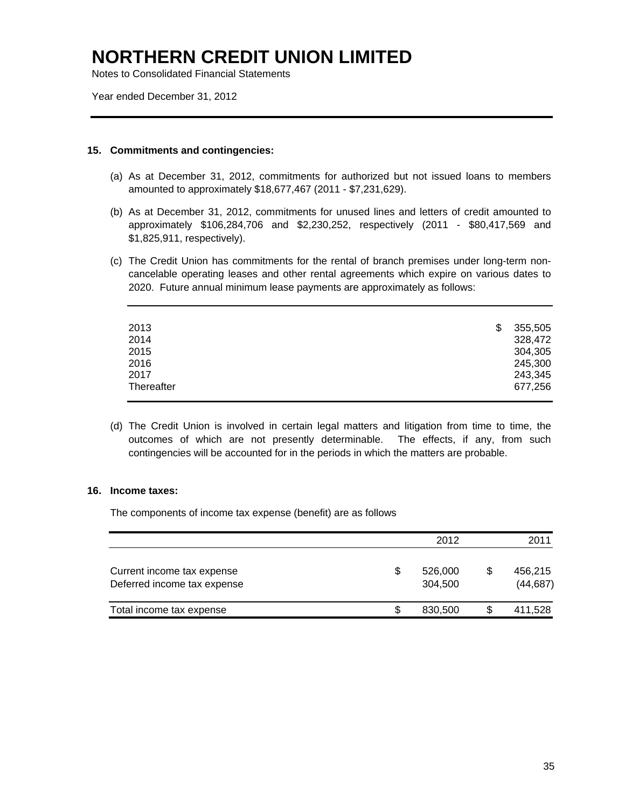Notes to Consolidated Financial Statements

Year ended December 31, 2012

#### **15. Commitments and contingencies:**

- (a) As at December 31, 2012, commitments for authorized but not issued loans to members amounted to approximately \$18,677,467 (2011 - \$7,231,629).
- (b) As at December 31, 2012, commitments for unused lines and letters of credit amounted to approximately \$106,284,706 and \$2,230,252, respectively (2011 - \$80,417,569 and \$1,825,911, respectively).
- (c) The Credit Union has commitments for the rental of branch premises under long-term noncancelable operating leases and other rental agreements which expire on various dates to 2020. Future annual minimum lease payments are approximately as follows:

| 2013       | 355,505 |
|------------|---------|
| 2014       | 328,472 |
| 2015       | 304,305 |
| 2016       | 245,300 |
| 2017       | 243,345 |
| Thereafter | 677,256 |
|            |         |

(d) The Credit Union is involved in certain legal matters and litigation from time to time, the outcomes of which are not presently determinable. The effects, if any, from such contingencies will be accounted for in the periods in which the matters are probable.

#### **16. Income taxes:**

The components of income tax expense (benefit) are as follows

|                                                           | 2012 |                    |   | 2011                 |  |
|-----------------------------------------------------------|------|--------------------|---|----------------------|--|
| Current income tax expense<br>Deferred income tax expense | \$   | 526,000<br>304.500 | S | 456,215<br>(44, 687) |  |
| Total income tax expense                                  | \$   | 830,500            |   | 411,528              |  |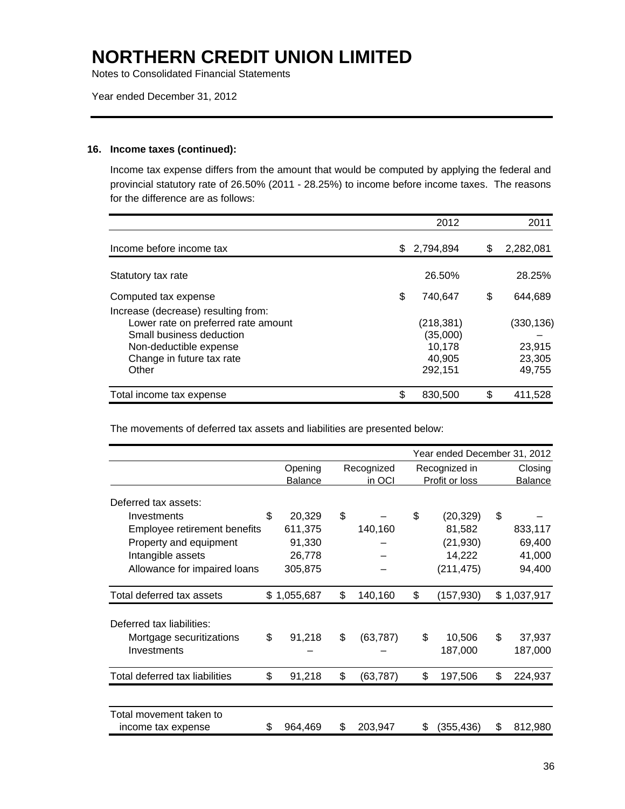Notes to Consolidated Financial Statements

Year ended December 31, 2012

#### **16. Income taxes (continued):**

Income tax expense differs from the amount that would be computed by applying the federal and provincial statutory rate of 26.50% (2011 - 28.25%) to income before income taxes. The reasons for the difference are as follows:

|                                                                                                                                                                        |     | 2012                                                  | 2011                                    |
|------------------------------------------------------------------------------------------------------------------------------------------------------------------------|-----|-------------------------------------------------------|-----------------------------------------|
| Income before income tax                                                                                                                                               | \$. | 2,794,894                                             | \$<br>2,282,081                         |
| Statutory tax rate                                                                                                                                                     |     | 26.50%                                                | 28.25%                                  |
| Computed tax expense                                                                                                                                                   | \$  | 740.647                                               | \$<br>644,689                           |
| Increase (decrease) resulting from:<br>Lower rate on preferred rate amount<br>Small business deduction<br>Non-deductible expense<br>Change in future tax rate<br>Other |     | (218, 381)<br>(35,000)<br>10.178<br>40,905<br>292,151 | (330,136)<br>23,915<br>23,305<br>49,755 |
| Total income tax expense                                                                                                                                               |     | 830,500                                               | \$<br>411.528                           |

The movements of deferred tax assets and liabilities are presented below:

|                                |                           |     |                      | Year ended December 31, 2012    |    |                    |
|--------------------------------|---------------------------|-----|----------------------|---------------------------------|----|--------------------|
|                                | Opening<br><b>Balance</b> |     | Recognized<br>in OCI | Recognized in<br>Profit or loss |    | Closing<br>Balance |
| Deferred tax assets:           |                           |     |                      |                                 |    |                    |
| Investments                    | \$<br>20,329              | \$  |                      | \$<br>(20, 329)                 | \$ |                    |
| Employee retirement benefits   | 611,375                   |     | 140,160              | 81,582                          |    | 833,117            |
| Property and equipment         | 91,330                    |     |                      | (21, 930)                       |    | 69,400             |
| Intangible assets              | 26,778                    |     |                      | 14,222                          |    | 41,000             |
| Allowance for impaired loans   | 305,875                   |     |                      | (211, 475)                      |    | 94,400             |
| Total deferred tax assets      | \$1,055,687               | \$  | 140,160              | \$<br>(157,930)                 |    | \$1,037,917        |
| Deferred tax liabilities:      |                           |     |                      |                                 |    |                    |
| Mortgage securitizations       | \$<br>91,218              | \$  | (63, 787)            | \$<br>10,506                    | \$ | 37,937             |
| Investments                    |                           |     |                      | 187,000                         |    | 187,000            |
| Total deferred tax liabilities | \$<br>91,218              | \$  | (63, 787)            | \$<br>197,506                   | \$ | 224,937            |
|                                |                           |     |                      |                                 |    |                    |
| Total movement taken to        |                           |     |                      |                                 |    |                    |
| income tax expense             | \$<br>964,469             | \$. | 203,947              | \$<br>(355,436)                 | S  | 812,980            |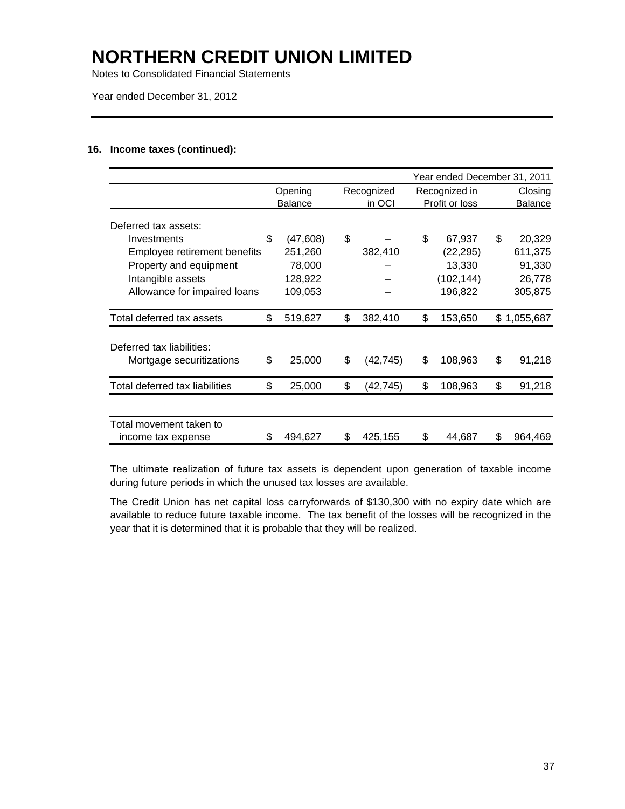Notes to Consolidated Financial Statements

Year ended December 31, 2012

### **16. Income taxes (continued):**

|                                                       |     |                |                 | Year ended December 31, 2011 |     |             |
|-------------------------------------------------------|-----|----------------|-----------------|------------------------------|-----|-------------|
|                                                       |     | Opening        | Recognized      | Recognized in                |     | Closing     |
|                                                       |     | <b>Balance</b> | in OCI          | Profit or loss               |     | Balance     |
| Deferred tax assets:                                  |     |                |                 |                              |     |             |
| Investments                                           | \$  | (47,608)       | \$              | \$<br>67,937                 | \$. | 20,329      |
| Employee retirement benefits                          |     | 251,260        | 382,410         | (22, 295)                    |     | 611,375     |
| Property and equipment                                |     | 78,000         |                 | 13,330                       |     | 91,330      |
| Intangible assets                                     |     | 128,922        |                 | (102,144)                    |     | 26,778      |
| Allowance for impaired loans                          |     | 109,053        |                 | 196,822                      |     | 305,875     |
| Total deferred tax assets                             | \$  | 519,627        | \$<br>382,410   | \$<br>153,650                |     | \$1,055,687 |
|                                                       |     |                |                 |                              |     |             |
| Deferred tax liabilities:<br>Mortgage securitizations | \$  | 25,000         | \$<br>(42, 745) | \$<br>108,963                | \$  | 91,218      |
| Total deferred tax liabilities                        | \$. | 25,000         | \$<br>(42,745)  | \$<br>108,963                | \$  | 91,218      |
|                                                       |     |                |                 |                              |     |             |
| Total movement taken to                               |     |                |                 |                              |     |             |
| income tax expense                                    | S   | 494,627        | \$<br>425,155   | \$<br>44,687                 | S   | 964,469     |

The ultimate realization of future tax assets is dependent upon generation of taxable income during future periods in which the unused tax losses are available.

The Credit Union has net capital loss carryforwards of \$130,300 with no expiry date which are available to reduce future taxable income. The tax benefit of the losses will be recognized in the year that it is determined that it is probable that they will be realized.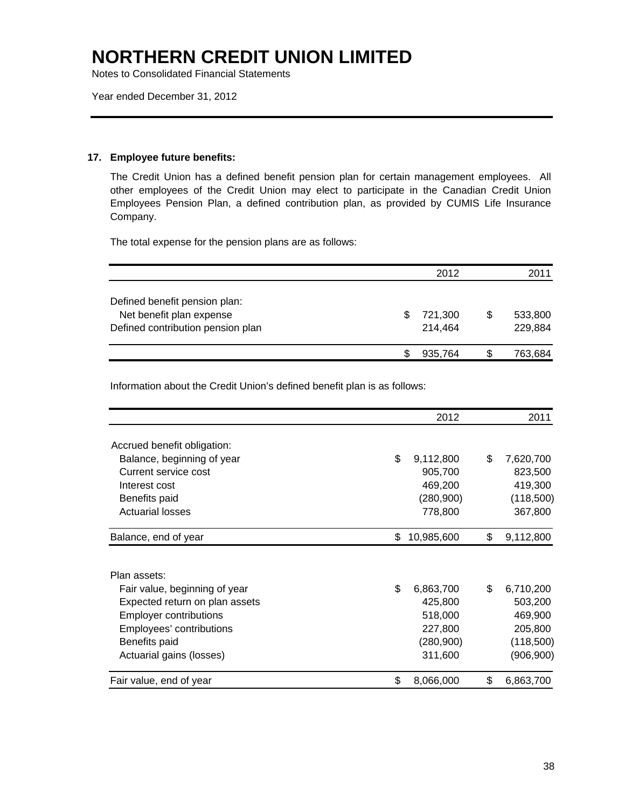Notes to Consolidated Financial Statements

Year ended December 31, 2012

### **17. Employee future benefits:**

The Credit Union has a defined benefit pension plan for certain management employees. All other employees of the Credit Union may elect to participate in the Canadian Credit Union Employees Pension Plan, a defined contribution plan, as provided by CUMIS Life Insurance Company.

The total expense for the pension plans are as follows:

|                                                           | 2012    |   | 2011    |
|-----------------------------------------------------------|---------|---|---------|
| Defined benefit pension plan:<br>Net benefit plan expense | 721,300 | S | 533,800 |
| Defined contribution pension plan                         | 214.464 |   | 229,884 |
|                                                           | 935.764 | S | 763,684 |

Information about the Credit Union's defined benefit plan is as follows:

|                                | 2012             | 2011            |
|--------------------------------|------------------|-----------------|
| Accrued benefit obligation:    |                  |                 |
| Balance, beginning of year     | \$<br>9,112,800  | \$<br>7,620,700 |
| Current service cost           | 905,700          | 823,500         |
| Interest cost                  | 469,200          | 419,300         |
| Benefits paid                  | (280,900)        | (118,500)       |
| <b>Actuarial losses</b>        | 778,800          | 367,800         |
| Balance, end of year           | \$<br>10,985,600 | \$<br>9,112,800 |
| Plan assets:                   |                  |                 |
| Fair value, beginning of year  | \$<br>6,863,700  | \$<br>6,710,200 |
| Expected return on plan assets | 425,800          | 503,200         |
| <b>Employer contributions</b>  | 518,000          | 469,900         |
| Employees' contributions       | 227,800          | 205,800         |
| Benefits paid                  | (280,900)        | (118,500)       |
| Actuarial gains (losses)       | 311,600          | (906, 900)      |
| Fair value, end of year        | \$<br>8,066,000  | \$<br>6,863,700 |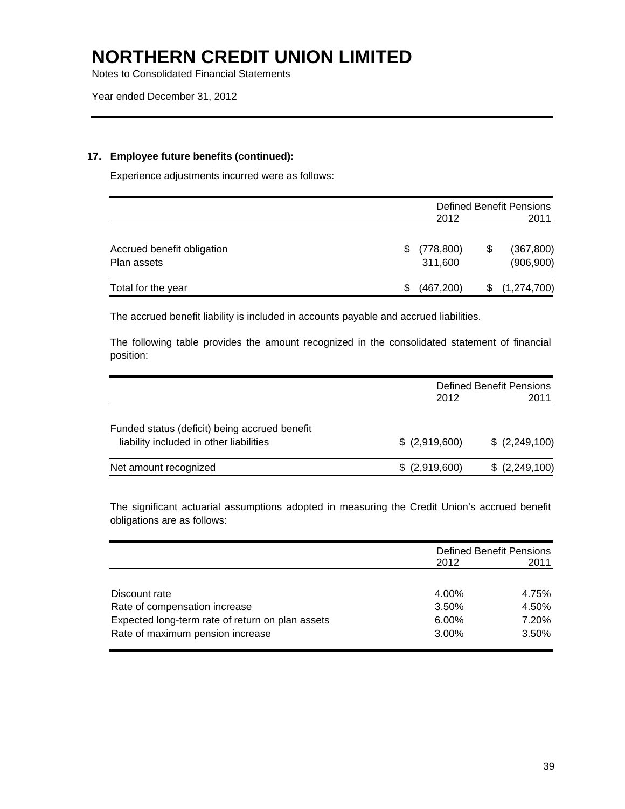Notes to Consolidated Financial Statements

### **17. Employee future benefits (continued):**

Experience adjustments incurred were as follows:

|                                           |    |                       | Defined Benefit Pensions |                          |  |  |
|-------------------------------------------|----|-----------------------|--------------------------|--------------------------|--|--|
|                                           |    | 2012                  |                          | 2011                     |  |  |
| Accrued benefit obligation<br>Plan assets | S. | (778, 800)<br>311,600 | \$                       | (367, 800)<br>(906, 900) |  |  |
| Total for the year                        | S  | (467, 200)            |                          | \$(1,274,700)            |  |  |

The accrued benefit liability is included in accounts payable and accrued liabilities.

The following table provides the amount recognized in the consolidated statement of financial position:

|                                                                                          |                 | <b>Defined Benefit Pensions</b> |
|------------------------------------------------------------------------------------------|-----------------|---------------------------------|
|                                                                                          | 2012            | 2011                            |
| Funded status (deficit) being accrued benefit<br>liability included in other liabilities | $$$ (2,919,600) | \$ (2,249,100)                  |
| Net amount recognized                                                                    | \$ (2,919,600)  | \$ (2,249,100)                  |

The significant actuarial assumptions adopted in measuring the Credit Union's accrued benefit obligations are as follows:

|                                                  | 2012     | <b>Defined Benefit Pensions</b><br>2011 |
|--------------------------------------------------|----------|-----------------------------------------|
|                                                  |          |                                         |
| Discount rate                                    | 4.00%    | 4.75%                                   |
| Rate of compensation increase                    | 3.50%    | 4.50%                                   |
| Expected long-term rate of return on plan assets | 6.00%    | 7.20%                                   |
| Rate of maximum pension increase                 | $3.00\%$ | 3.50%                                   |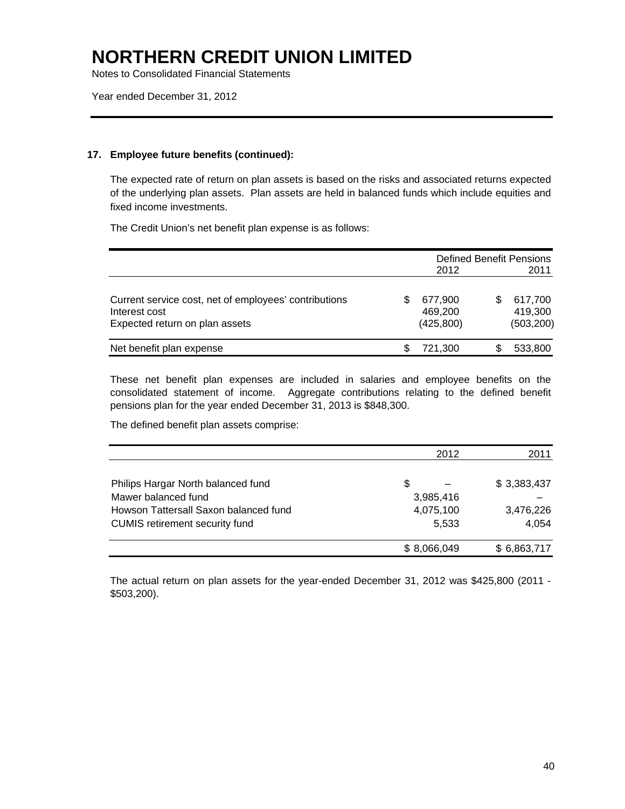Notes to Consolidated Financial Statements

Year ended December 31, 2012

### **17. Employee future benefits (continued):**

The expected rate of return on plan assets is based on the risks and associated returns expected of the underlying plan assets. Plan assets are held in balanced funds which include equities and fixed income investments.

The Credit Union's net benefit plan expense is as follows:

|                                                                                                          | 2012                             | <b>Defined Benefit Pensions</b>  |
|----------------------------------------------------------------------------------------------------------|----------------------------------|----------------------------------|
|                                                                                                          |                                  | 2011                             |
| Current service cost, net of employees' contributions<br>Interest cost<br>Expected return on plan assets | 677.900<br>469.200<br>(425, 800) | 617,700<br>419,300<br>(503, 200) |
| Net benefit plan expense                                                                                 | 721,300                          | 533,800                          |

These net benefit plan expenses are included in salaries and employee benefits on the consolidated statement of income. Aggregate contributions relating to the defined benefit pensions plan for the year ended December 31, 2013 is \$848,300.

The defined benefit plan assets comprise:

|                                       | 2012        | 2011        |
|---------------------------------------|-------------|-------------|
|                                       |             |             |
| Philips Hargar North balanced fund    | \$          | \$3,383,437 |
| Mawer balanced fund                   | 3,985,416   |             |
| Howson Tattersall Saxon balanced fund | 4,075,100   | 3,476,226   |
| <b>CUMIS</b> retirement security fund | 5,533       | 4,054       |
|                                       | \$8,066,049 | \$6,863,717 |

The actual return on plan assets for the year-ended December 31, 2012 was \$425,800 (2011 - \$503,200).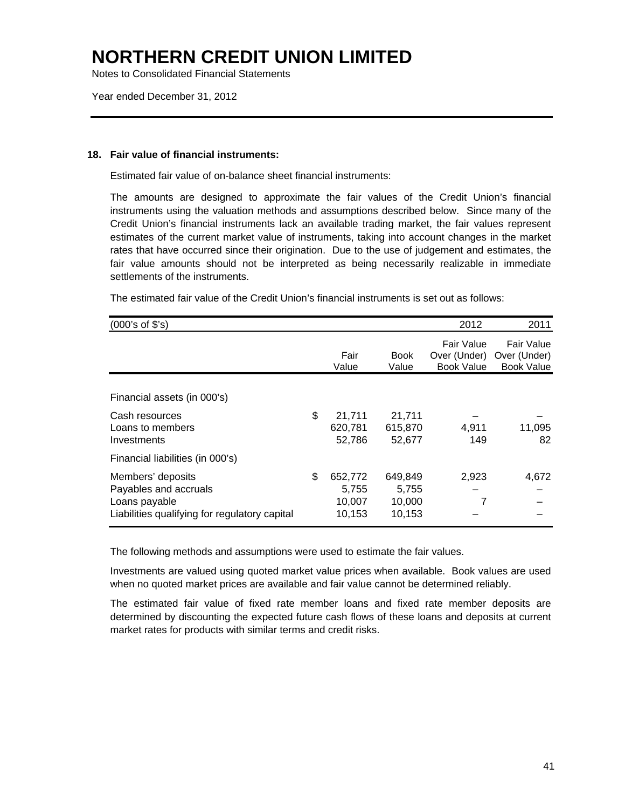Notes to Consolidated Financial Statements

Year ended December 31, 2012

#### **18. Fair value of financial instruments:**

Estimated fair value of on-balance sheet financial instruments:

The amounts are designed to approximate the fair values of the Credit Union's financial instruments using the valuation methods and assumptions described below. Since many of the Credit Union's financial instruments lack an available trading market, the fair values represent estimates of the current market value of instruments, taking into account changes in the market rates that have occurred since their origination. Due to the use of judgement and estimates, the fair value amounts should not be interpreted as being necessarily realizable in immediate settlements of the instruments.

| (000's of \$'s)                                                                                              |                                            |                                      | 2012                                            | 2011                                            |
|--------------------------------------------------------------------------------------------------------------|--------------------------------------------|--------------------------------------|-------------------------------------------------|-------------------------------------------------|
|                                                                                                              | Fair<br>Value                              | <b>Book</b><br>Value                 | Fair Value<br>Over (Under)<br><b>Book Value</b> | Fair Value<br>Over (Under)<br><b>Book Value</b> |
| Financial assets (in 000's)                                                                                  |                                            |                                      |                                                 |                                                 |
| Cash resources<br>Loans to members<br>Investments                                                            | \$<br>21.711<br>620,781<br>52,786          | 21,711<br>615,870<br>52,677          | 4,911<br>149                                    | 11,095<br>82                                    |
| Financial liabilities (in 000's)                                                                             |                                            |                                      |                                                 |                                                 |
| Members' deposits<br>Payables and accruals<br>Loans payable<br>Liabilities qualifying for regulatory capital | \$<br>652,772<br>5,755<br>10,007<br>10,153 | 649,849<br>5,755<br>10,000<br>10,153 | 2,923<br>7                                      | 4,672                                           |

The estimated fair value of the Credit Union's financial instruments is set out as follows:

The following methods and assumptions were used to estimate the fair values.

Investments are valued using quoted market value prices when available. Book values are used when no quoted market prices are available and fair value cannot be determined reliably.

The estimated fair value of fixed rate member loans and fixed rate member deposits are determined by discounting the expected future cash flows of these loans and deposits at current market rates for products with similar terms and credit risks.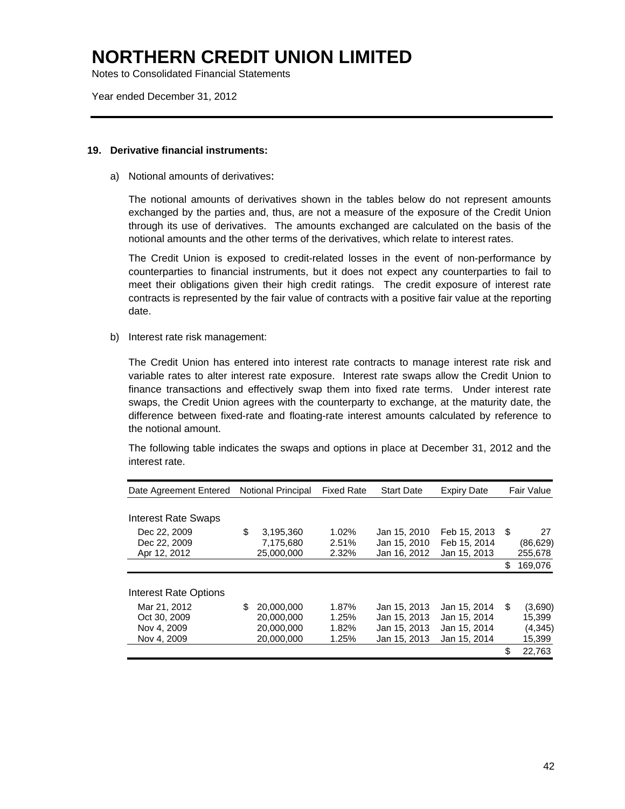Notes to Consolidated Financial Statements

Year ended December 31, 2012

#### **19. Derivative financial instruments:**

a) Notional amounts of derivatives:

The notional amounts of derivatives shown in the tables below do not represent amounts exchanged by the parties and, thus, are not a measure of the exposure of the Credit Union through its use of derivatives. The amounts exchanged are calculated on the basis of the notional amounts and the other terms of the derivatives, which relate to interest rates.

The Credit Union is exposed to credit-related losses in the event of non-performance by counterparties to financial instruments, but it does not expect any counterparties to fail to meet their obligations given their high credit ratings. The credit exposure of interest rate contracts is represented by the fair value of contracts with a positive fair value at the reporting date.

b) Interest rate risk management:

The Credit Union has entered into interest rate contracts to manage interest rate risk and variable rates to alter interest rate exposure. Interest rate swaps allow the Credit Union to finance transactions and effectively swap them into fixed rate terms. Under interest rate swaps, the Credit Union agrees with the counterparty to exchange, at the maturity date, the difference between fixed-rate and floating-rate interest amounts calculated by reference to the notional amount.

The following table indicates the swaps and options in place at December 31, 2012 and the interest rate.

| Date Agreement Entered     | <b>Notional Principal</b> | <b>Fixed Rate</b> | <b>Start Date</b> | <b>Expiry Date</b> |      | <b>Fair Value</b> |
|----------------------------|---------------------------|-------------------|-------------------|--------------------|------|-------------------|
|                            |                           |                   |                   |                    |      |                   |
| <b>Interest Rate Swaps</b> |                           |                   |                   |                    |      |                   |
| Dec 22, 2009               | \$<br>3,195,360           | $1.02\%$          | Jan 15, 2010      | Feb 15, 2013       | - \$ | 27                |
| Dec 22, 2009               | 7,175,680                 | 2.51%             | Jan 15, 2010      | Feb 15, 2014       |      | (86, 629)         |
| Apr 12, 2012               | 25,000,000                | 2.32%             | Jan 16, 2012      | Jan 15, 2013       |      | 255,678           |
|                            |                           |                   |                   |                    | \$   | 169,076           |
|                            |                           |                   |                   |                    |      |                   |
| Interest Rate Options      |                           |                   |                   |                    |      |                   |
| Mar 21, 2012               | \$<br>20.000.000          | 1.87%             | Jan 15, 2013      | Jan 15, 2014       | \$   | (3,690)           |
| Oct 30, 2009               | 20.000.000                | 1.25%             | Jan 15, 2013      | Jan 15, 2014       |      | 15.399            |
| Nov 4, 2009                | 20,000,000                | 1.82%             | Jan 15, 2013      | Jan 15, 2014       |      | (4, 345)          |
| Nov 4, 2009                | 20.000.000                | 1.25%             | Jan 15, 2013      | Jan 15, 2014       |      | 15,399            |
|                            |                           |                   |                   |                    | \$   | 22,763            |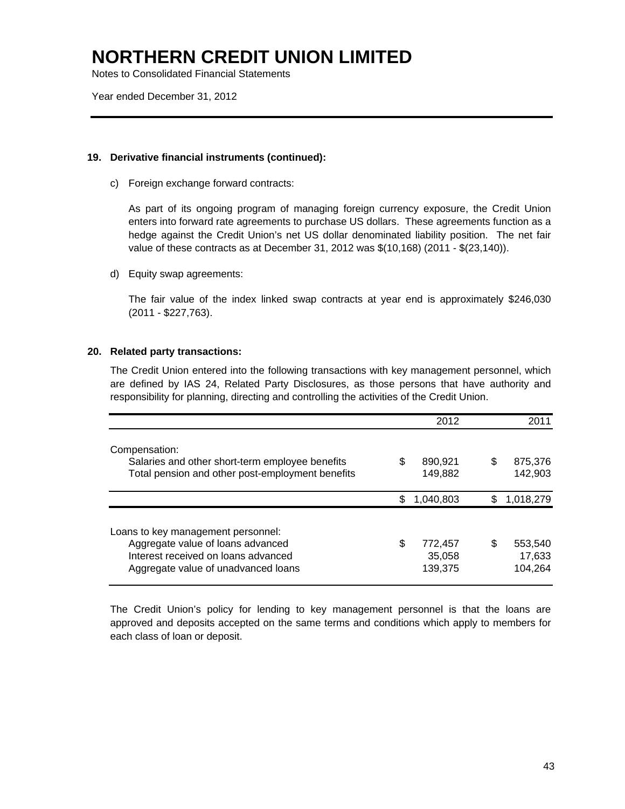Notes to Consolidated Financial Statements

Year ended December 31, 2012

### **19. Derivative financial instruments (continued):**

c) Foreign exchange forward contracts:

 As part of its ongoing program of managing foreign currency exposure, the Credit Union enters into forward rate agreements to purchase US dollars. These agreements function as a hedge against the Credit Union's net US dollar denominated liability position. The net fair value of these contracts as at December 31, 2012 was \$(10,168) (2011 - \$(23,140)).

d) Equity swap agreements:

 The fair value of the index linked swap contracts at year end is approximately \$246,030 (2011 - \$227,763).

### **20. Related party transactions:**

The Credit Union entered into the following transactions with key management personnel, which are defined by IAS 24, Related Party Disclosures, as those persons that have authority and responsibility for planning, directing and controlling the activities of the Credit Union.

|                                                                                                                                                       |    | 2012                         |   | 2011                         |
|-------------------------------------------------------------------------------------------------------------------------------------------------------|----|------------------------------|---|------------------------------|
| Compensation:<br>Salaries and other short-term employee benefits<br>Total pension and other post-employment benefits                                  | S  | 890,921<br>149,882           | S | 875,376<br>142,903           |
|                                                                                                                                                       | S  | 1,040,803                    | S | 1,018,279                    |
| Loans to key management personnel:<br>Aggregate value of loans advanced<br>Interest received on loans advanced<br>Aggregate value of unadvanced loans | \$ | 772,457<br>35,058<br>139,375 | S | 553,540<br>17,633<br>104,264 |

The Credit Union's policy for lending to key management personnel is that the loans are approved and deposits accepted on the same terms and conditions which apply to members for each class of loan or deposit.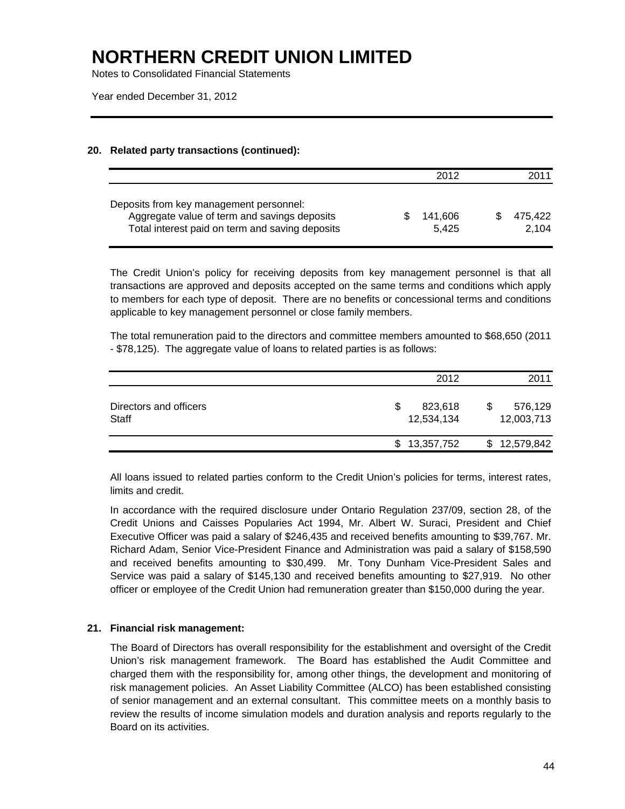Notes to Consolidated Financial Statements

Year ended December 31, 2012

### **20. Related party transactions (continued):**

|                                                                                                                                            | 2012             | 2011             |
|--------------------------------------------------------------------------------------------------------------------------------------------|------------------|------------------|
| Deposits from key management personnel:<br>Aggregate value of term and savings deposits<br>Total interest paid on term and saving deposits | 141.606<br>5.425 | 475.422<br>2.104 |

The Credit Union's policy for receiving deposits from key management personnel is that all transactions are approved and deposits accepted on the same terms and conditions which apply to members for each type of deposit. There are no benefits or concessional terms and conditions applicable to key management personnel or close family members.

 The total remuneration paid to the directors and committee members amounted to \$68,650 (2011 - \$78,125). The aggregate value of loans to related parties is as follows:

|                                        | 2012                       | 2011                  |
|----------------------------------------|----------------------------|-----------------------|
| Directors and officers<br><b>Staff</b> | 823,618<br>S<br>12,534,134 | 576,129<br>12,003,713 |
|                                        | 13,357,752<br>S            | \$12,579,842          |

All loans issued to related parties conform to the Credit Union's policies for terms, interest rates, limits and credit.

 In accordance with the required disclosure under Ontario Regulation 237/09, section 28, of the Credit Unions and Caisses Popularies Act 1994, Mr. Albert W. Suraci, President and Chief Executive Officer was paid a salary of \$246,435 and received benefits amounting to \$39,767. Mr. Richard Adam, Senior Vice-President Finance and Administration was paid a salary of \$158,590 and received benefits amounting to \$30,499. Mr. Tony Dunham Vice-President Sales and Service was paid a salary of \$145,130 and received benefits amounting to \$27,919. No other officer or employee of the Credit Union had remuneration greater than \$150,000 during the year.

### **21. Financial risk management:**

The Board of Directors has overall responsibility for the establishment and oversight of the Credit Union's risk management framework. The Board has established the Audit Committee and charged them with the responsibility for, among other things, the development and monitoring of risk management policies. An Asset Liability Committee (ALCO) has been established consisting of senior management and an external consultant. This committee meets on a monthly basis to review the results of income simulation models and duration analysis and reports regularly to the Board on its activities.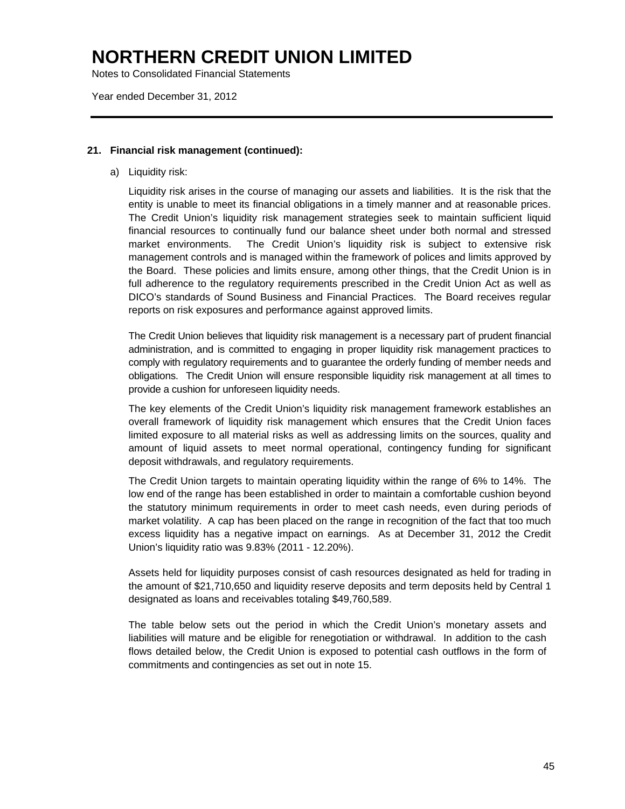Notes to Consolidated Financial Statements

Year ended December 31, 2012

#### **21. Financial risk management (continued):**

a) Liquidity risk:

Liquidity risk arises in the course of managing our assets and liabilities. It is the risk that the entity is unable to meet its financial obligations in a timely manner and at reasonable prices. The Credit Union's liquidity risk management strategies seek to maintain sufficient liquid financial resources to continually fund our balance sheet under both normal and stressed market environments. The Credit Union's liquidity risk is subject to extensive risk management controls and is managed within the framework of polices and limits approved by the Board. These policies and limits ensure, among other things, that the Credit Union is in full adherence to the regulatory requirements prescribed in the Credit Union Act as well as DICO's standards of Sound Business and Financial Practices. The Board receives regular reports on risk exposures and performance against approved limits.

The Credit Union believes that liquidity risk management is a necessary part of prudent financial administration, and is committed to engaging in proper liquidity risk management practices to comply with regulatory requirements and to guarantee the orderly funding of member needs and obligations. The Credit Union will ensure responsible liquidity risk management at all times to provide a cushion for unforeseen liquidity needs.

The key elements of the Credit Union's liquidity risk management framework establishes an overall framework of liquidity risk management which ensures that the Credit Union faces limited exposure to all material risks as well as addressing limits on the sources, quality and amount of liquid assets to meet normal operational, contingency funding for significant deposit withdrawals, and regulatory requirements.

The Credit Union targets to maintain operating liquidity within the range of 6% to 14%. The low end of the range has been established in order to maintain a comfortable cushion beyond the statutory minimum requirements in order to meet cash needs, even during periods of market volatility. A cap has been placed on the range in recognition of the fact that too much excess liquidity has a negative impact on earnings. As at December 31, 2012 the Credit Union's liquidity ratio was 9.83% (2011 - 12.20%).

Assets held for liquidity purposes consist of cash resources designated as held for trading in the amount of \$21,710,650 and liquidity reserve deposits and term deposits held by Central 1 designated as loans and receivables totaling \$49,760,589.

The table below sets out the period in which the Credit Union's monetary assets and liabilities will mature and be eligible for renegotiation or withdrawal. In addition to the cash flows detailed below, the Credit Union is exposed to potential cash outflows in the form of commitments and contingencies as set out in note 15.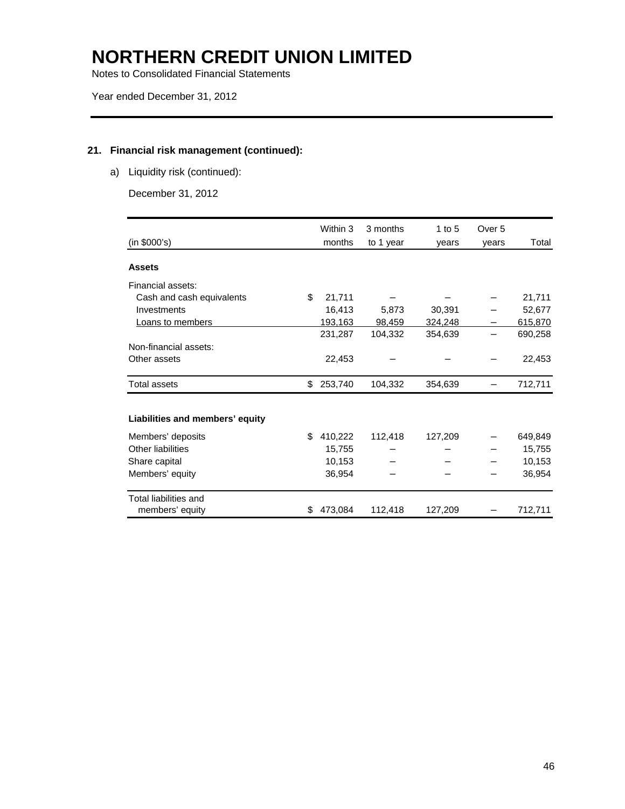Notes to Consolidated Financial Statements

### **21. Financial risk management (continued):**

a) Liquidity risk (continued):

December 31, 2012

| (in \$000's)                    |    | Within 3<br>months | 3 months<br>to 1 year | 1 to $5$<br>years | Over 5<br>years | Total   |
|---------------------------------|----|--------------------|-----------------------|-------------------|-----------------|---------|
| <b>Assets</b>                   |    |                    |                       |                   |                 |         |
| Financial assets:               |    |                    |                       |                   |                 |         |
| Cash and cash equivalents       | \$ | 21,711             |                       |                   |                 | 21,711  |
| Investments                     |    | 16,413             | 5,873                 | 30,391            |                 | 52,677  |
| <b>Loans to members</b>         |    | 193,163            | 98,459                | 324,248           |                 | 615,870 |
|                                 |    | 231,287            | 104,332               | 354,639           |                 | 690,258 |
| Non-financial assets:           |    |                    |                       |                   |                 |         |
| Other assets                    |    | 22,453             |                       |                   |                 | 22,453  |
| Total assets                    | \$ | 253,740            | 104,332               | 354,639           |                 | 712,711 |
| Liabilities and members' equity |    |                    |                       |                   |                 |         |
| Members' deposits               | \$ | 410,222            | 112,418               | 127,209           |                 | 649,849 |
| Other liabilities               |    | 15,755             |                       |                   |                 | 15,755  |
| Share capital                   |    | 10,153             |                       |                   |                 | 10,153  |
| Members' equity                 |    | 36,954             |                       |                   |                 | 36,954  |
| Total liabilities and           |    |                    |                       |                   |                 |         |
| members' equity                 | S  | 473,084            | 112,418               | 127,209           |                 | 712,711 |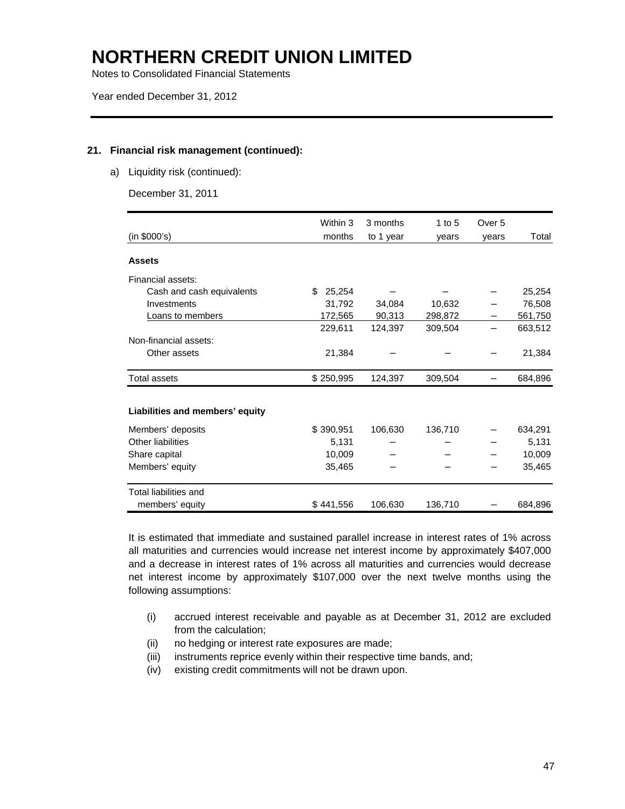Notes to Consolidated Financial Statements

#### **21. Financial risk management (continued):**

a) Liquidity risk (continued):

December 31, 2011

| (in \$000's)                    | Within 3<br>months | 3 months<br>to 1 year | 1 to $5$<br>years | Over 5<br>years | Total   |
|---------------------------------|--------------------|-----------------------|-------------------|-----------------|---------|
| <b>Assets</b>                   |                    |                       |                   |                 |         |
| Financial assets:               |                    |                       |                   |                 |         |
| Cash and cash equivalents       | \$<br>25,254       |                       |                   |                 | 25,254  |
| Investments                     | 31,792             | 34,084                | 10,632            |                 | 76,508  |
| <b>Loans to members</b>         | 172,565            | 90,313                | 298,872           |                 | 561,750 |
|                                 | 229,611            | 124,397               | 309,504           |                 | 663,512 |
| Non-financial assets:           |                    |                       |                   |                 |         |
| Other assets                    | 21,384             |                       |                   |                 | 21,384  |
| Total assets                    | \$250,995          | 124,397               | 309,504           |                 | 684,896 |
| Liabilities and members' equity |                    |                       |                   |                 |         |
| Members' deposits               | \$390,951          | 106,630               | 136,710           |                 | 634,291 |
| Other liabilities               | 5,131              |                       |                   |                 | 5,131   |
| Share capital                   | 10,009             |                       |                   |                 | 10,009  |
| Members' equity                 | 35,465             |                       |                   |                 | 35,465  |
| Total liabilities and           |                    |                       |                   |                 |         |
| members' equity                 | \$441,556          | 106,630               | 136,710           |                 | 684,896 |

It is estimated that immediate and sustained parallel increase in interest rates of 1% across all maturities and currencies would increase net interest income by approximately \$407,000 and a decrease in interest rates of 1% across all maturities and currencies would decrease net interest income by approximately \$107,000 over the next twelve months using the following assumptions:

- (i) accrued interest receivable and payable as at December 31, 2012 are excluded from the calculation;
- (ii) no hedging or interest rate exposures are made;
- (iii) instruments reprice evenly within their respective time bands, and;
- (iv) existing credit commitments will not be drawn upon.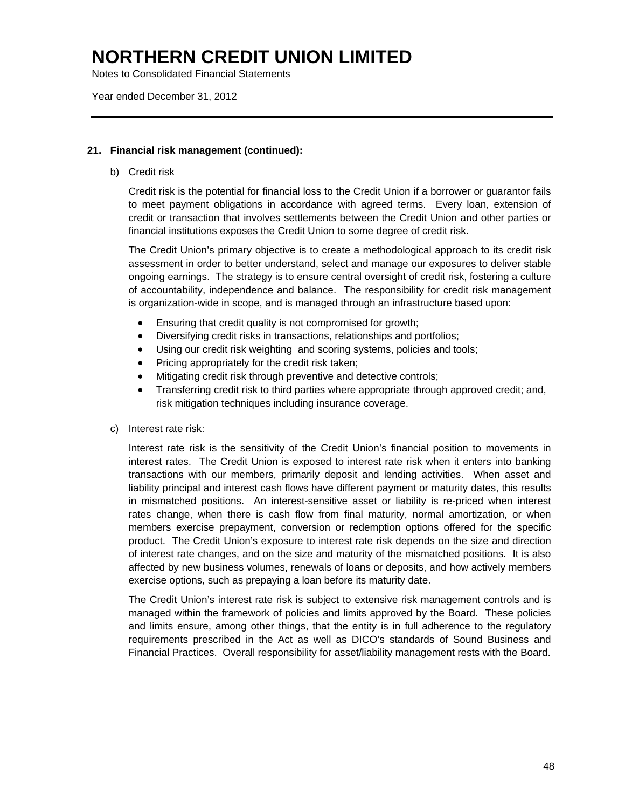Notes to Consolidated Financial Statements

Year ended December 31, 2012

#### **21. Financial risk management (continued):**

b) Credit risk

Credit risk is the potential for financial loss to the Credit Union if a borrower or guarantor fails to meet payment obligations in accordance with agreed terms. Every loan, extension of credit or transaction that involves settlements between the Credit Union and other parties or financial institutions exposes the Credit Union to some degree of credit risk.

The Credit Union's primary objective is to create a methodological approach to its credit risk assessment in order to better understand, select and manage our exposures to deliver stable ongoing earnings. The strategy is to ensure central oversight of credit risk, fostering a culture of accountability, independence and balance. The responsibility for credit risk management is organization-wide in scope, and is managed through an infrastructure based upon:

- Ensuring that credit quality is not compromised for growth;
- Diversifying credit risks in transactions, relationships and portfolios;
- Using our credit risk weighting and scoring systems, policies and tools;
- Pricing appropriately for the credit risk taken;
- Mitigating credit risk through preventive and detective controls;
- Transferring credit risk to third parties where appropriate through approved credit; and, risk mitigation techniques including insurance coverage.
- c) Interest rate risk:

Interest rate risk is the sensitivity of the Credit Union's financial position to movements in interest rates. The Credit Union is exposed to interest rate risk when it enters into banking transactions with our members, primarily deposit and lending activities. When asset and liability principal and interest cash flows have different payment or maturity dates, this results in mismatched positions. An interest-sensitive asset or liability is re-priced when interest rates change, when there is cash flow from final maturity, normal amortization, or when members exercise prepayment, conversion or redemption options offered for the specific product. The Credit Union's exposure to interest rate risk depends on the size and direction of interest rate changes, and on the size and maturity of the mismatched positions. It is also affected by new business volumes, renewals of loans or deposits, and how actively members exercise options, such as prepaying a loan before its maturity date.

The Credit Union's interest rate risk is subject to extensive risk management controls and is managed within the framework of policies and limits approved by the Board. These policies and limits ensure, among other things, that the entity is in full adherence to the regulatory requirements prescribed in the Act as well as DICO's standards of Sound Business and Financial Practices. Overall responsibility for asset/liability management rests with the Board.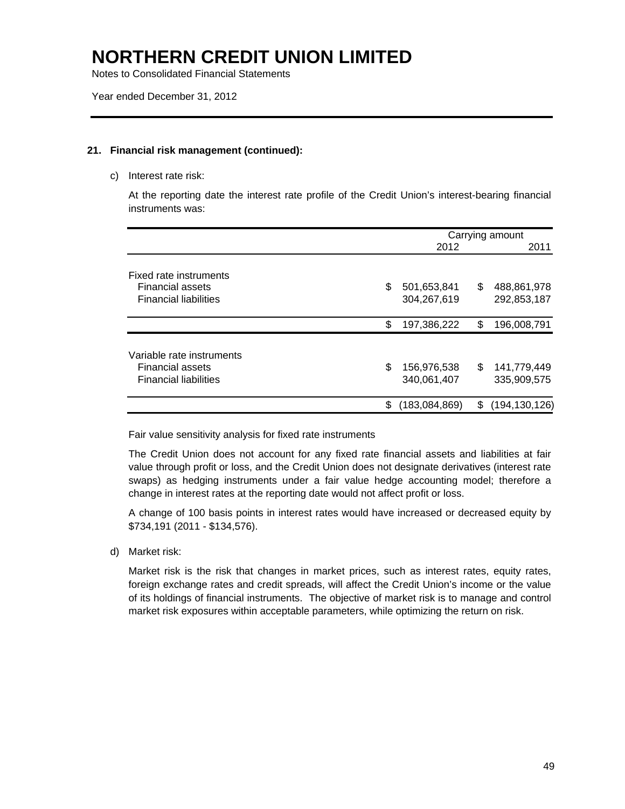Notes to Consolidated Financial Statements

#### **21. Financial risk management (continued):**

c) Interest rate risk:

At the reporting date the interest rate profile of the Credit Union's interest-bearing financial instruments was:

|                                                                                      | Carrying amount                  |     |                            |
|--------------------------------------------------------------------------------------|----------------------------------|-----|----------------------------|
|                                                                                      | 2012                             |     | 2011                       |
| Fixed rate instruments<br><b>Financial assets</b><br><b>Financial liabilities</b>    | \$<br>501,653,841<br>304,267,619 | \$  | 488,861,978<br>292,853,187 |
|                                                                                      | \$<br>197,386,222                | \$  | 196,008,791                |
| Variable rate instruments<br><b>Financial assets</b><br><b>Financial liabilities</b> | \$<br>156,976,538<br>340,061,407 | \$. | 141,779,449<br>335,909,575 |
|                                                                                      | \$<br>(183,084,869)              | S   | (194, 130, 126)            |

Fair value sensitivity analysis for fixed rate instruments

The Credit Union does not account for any fixed rate financial assets and liabilities at fair value through profit or loss, and the Credit Union does not designate derivatives (interest rate swaps) as hedging instruments under a fair value hedge accounting model; therefore a change in interest rates at the reporting date would not affect profit or loss.

A change of 100 basis points in interest rates would have increased or decreased equity by \$734,191 (2011 - \$134,576).

d) Market risk:

Market risk is the risk that changes in market prices, such as interest rates, equity rates, foreign exchange rates and credit spreads, will affect the Credit Union's income or the value of its holdings of financial instruments. The objective of market risk is to manage and control market risk exposures within acceptable parameters, while optimizing the return on risk.